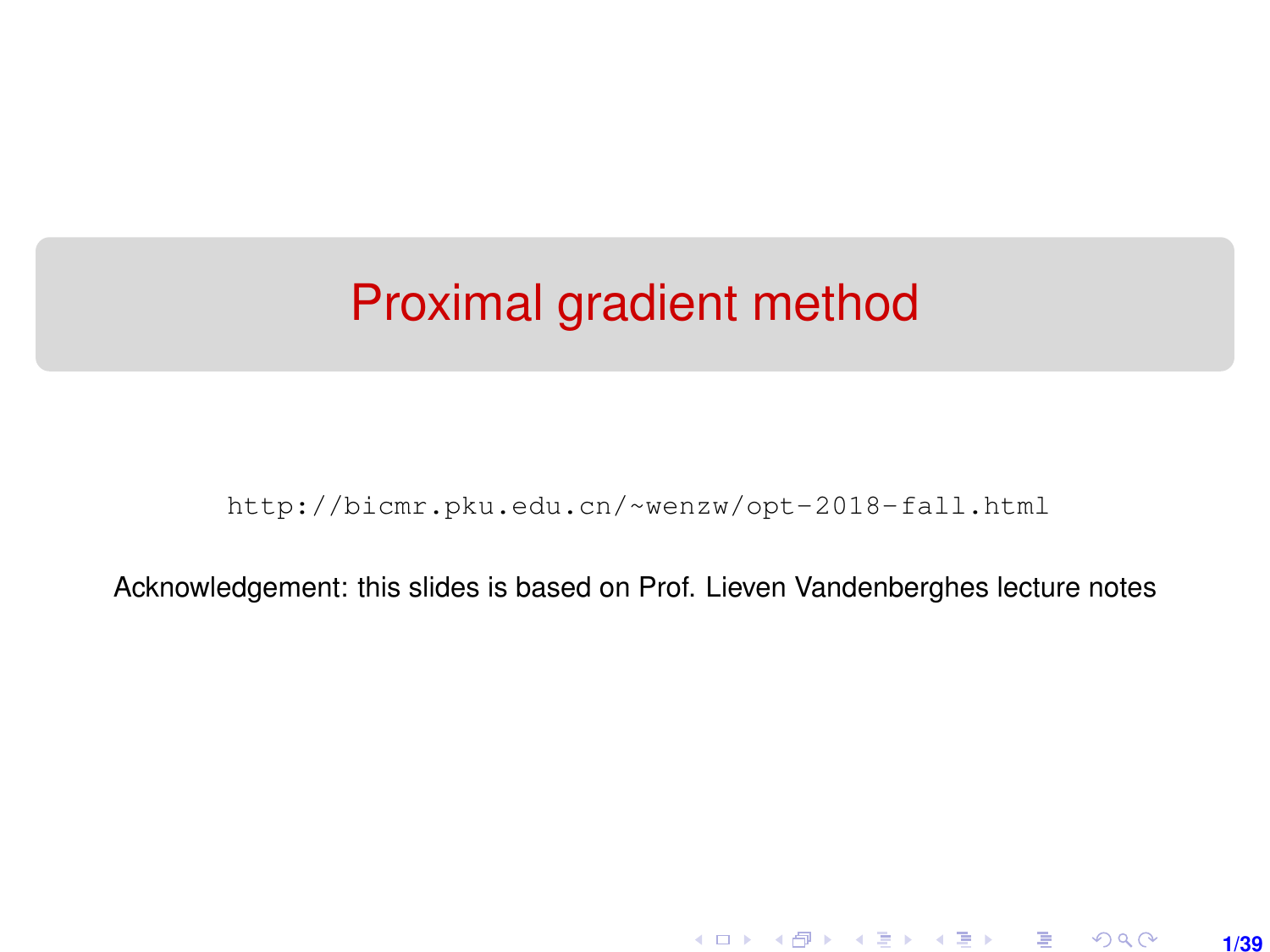## <span id="page-0-0"></span>Proximal gradient method

<http://bicmr.pku.edu.cn/~wenzw/opt-2018-fall.html>

Acknowledgement: this slides is based on Prof. Lieven Vandenberghes lecture notes

**1/39**

K ロ ▶ K 레 ▶ K 호 ▶ K 호 ▶ → 호 → 900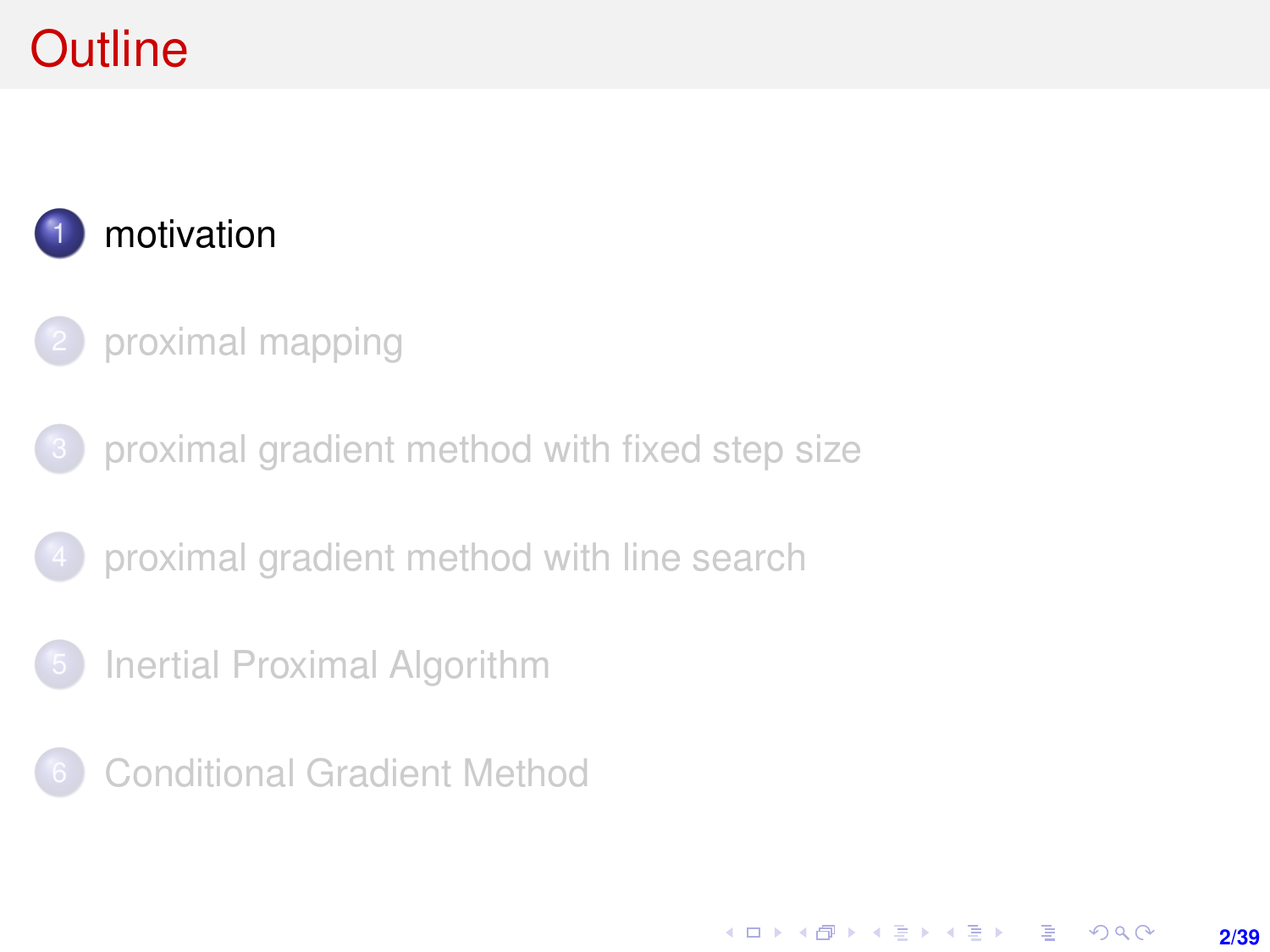# <span id="page-1-0"></span>**Outline**

## [motivation](#page-1-0)

- [proximal mapping](#page-7-0)
- [proximal gradient method with fixed step size](#page-11-0)
- 4 [proximal gradient method with line search](#page-20-0)
- [Inertial Proximal Algorithm](#page-26-0)
- **[Conditional Gradient Method](#page-28-0)**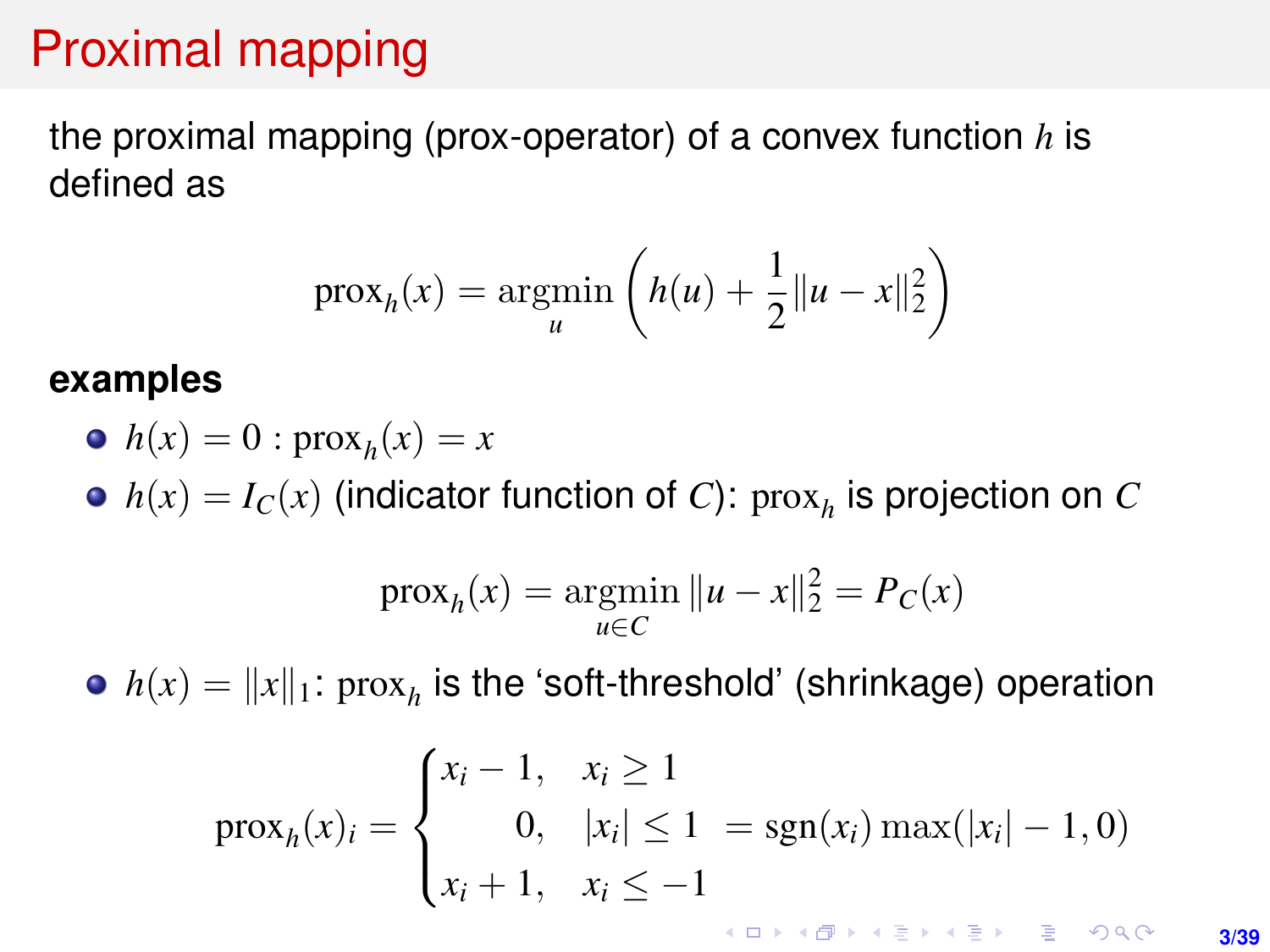## Proximal mapping

the proximal mapping (prox-operator) of a convex function *h* is defined as

$$
\operatorname{prox}_h(x) = \operatorname*{argmin}_u \left( h(u) + \frac{1}{2} ||u - x||_2^2 \right)
$$

#### **examples**

$$
\bullet \ \ h(x) = 0 : \text{prox}_{h}(x) = x
$$

 $h(x) = I_C(x)$  (indicator function of *C*):  $\text{prox}_{h}$  is projection on *C* 

$$
\text{prox}_{h}(x) = \underset{u \in C}{\text{argmin}} \|u - x\|_{2}^{2} = P_{C}(x)
$$

 $h(x) = \|x\|_1$ : pro $x_h$  is the 'soft-threshold' (shrinkage) operation

$$
\text{prox}_h(x)_i = \begin{cases} x_i - 1, & x_i \ge 1 \\ 0, & |x_i| \le 1 \\ x_i + 1, & x_i \le -1 \end{cases} = \text{sgn}(x_i) \max(|x_i| - 1, 0)
$$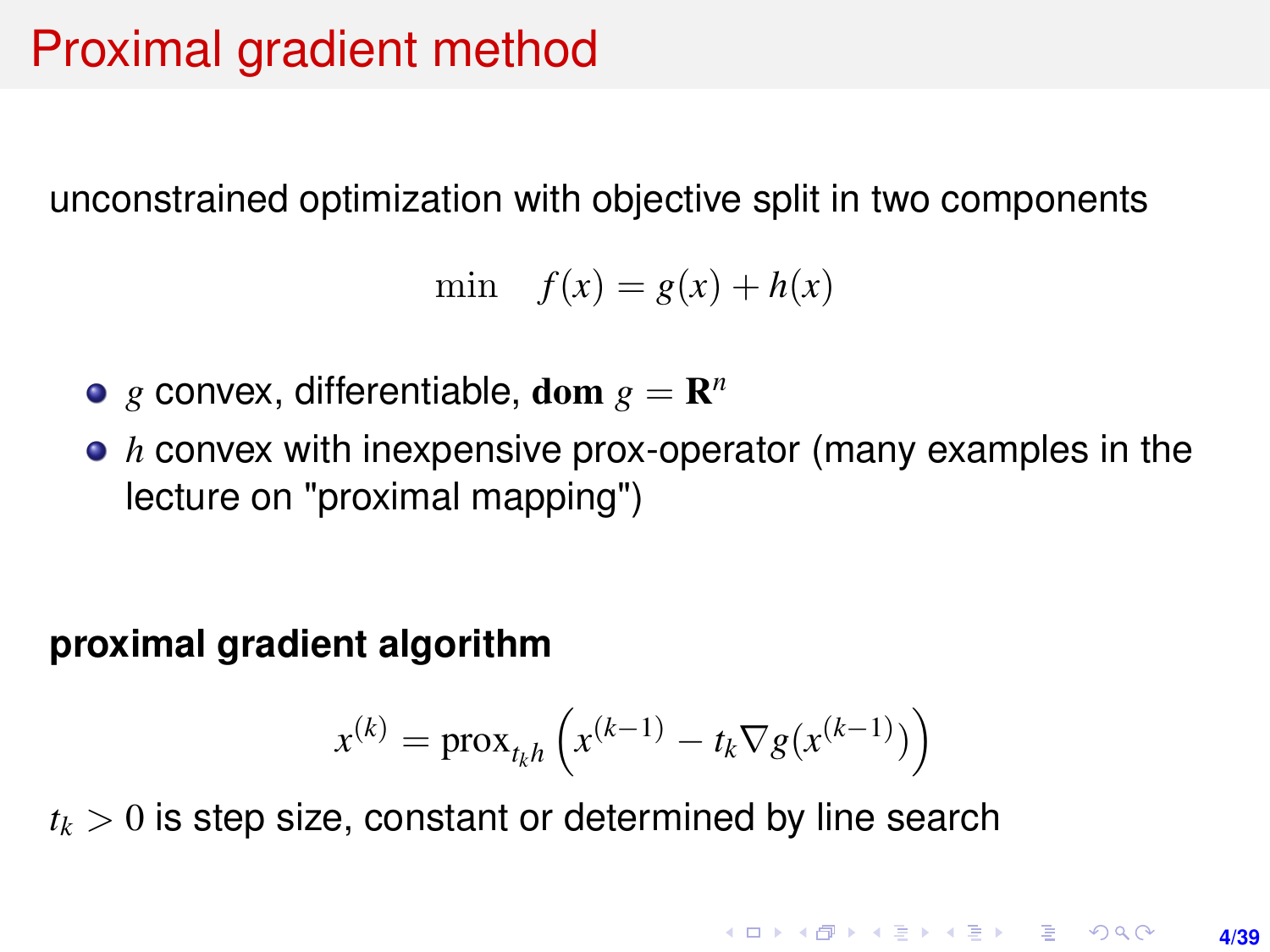## Proximal gradient method

unconstrained optimization with objective split in two components

$$
\min \quad f(x) = g(x) + h(x)
$$

- $g$  convex, differentiable,  $\textbf{dom} \ g = \mathbf{R}^n$
- *h* convex with inexpensive prox-operator (many examples in the lecture on "proximal mapping")

#### **proximal gradient algorithm**

$$
x^{(k)} = \operatorname{prox}_{t_k h}\left(x^{(k-1)} - t_k \nabla g(x^{(k-1)})\right)
$$

 $t_k > 0$  is step size, constant or determined by line search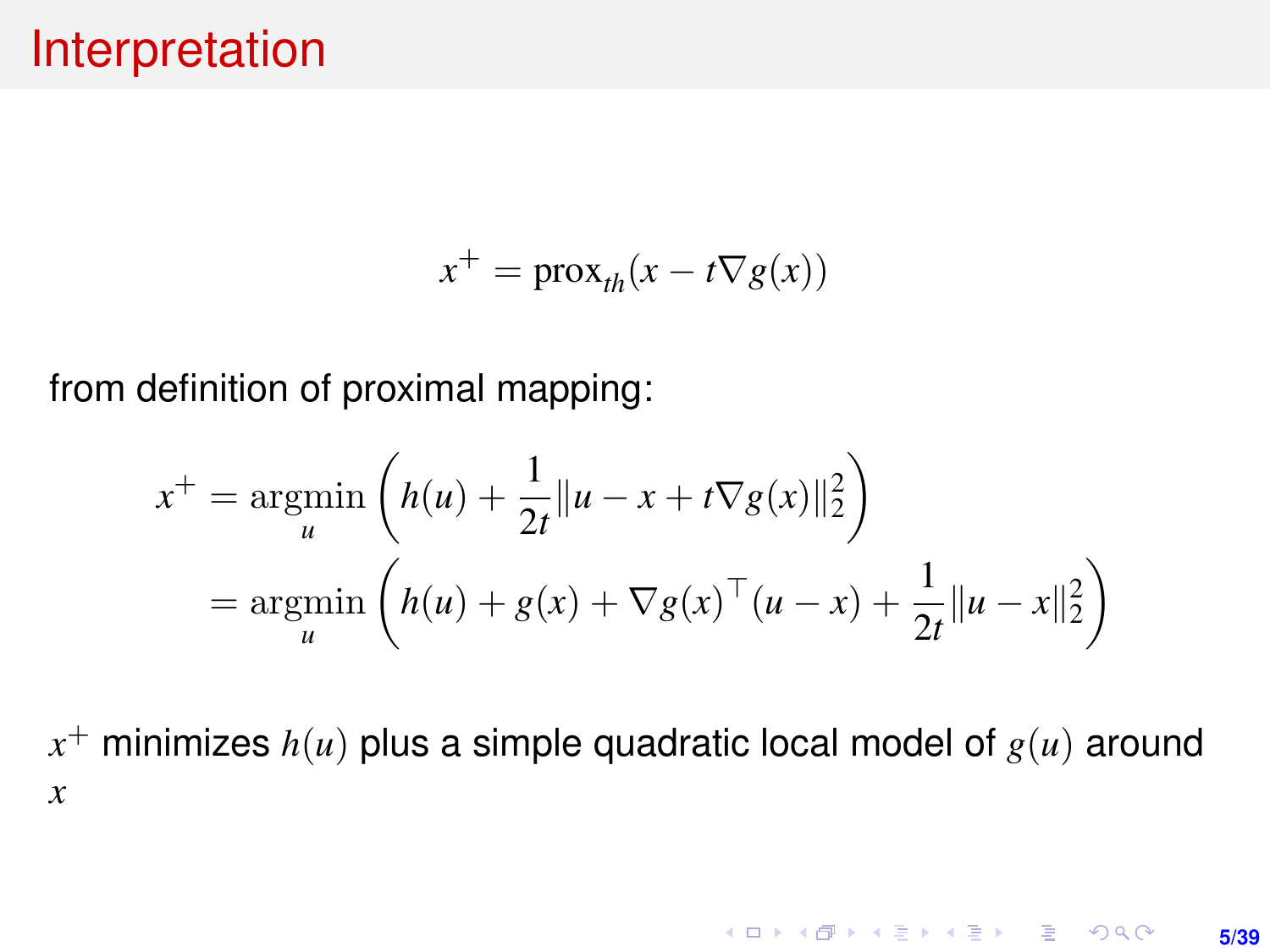## Interpretation

$$
x^+ = \text{prox}_{th}(x - t\nabla g(x))
$$

from definition of proximal mapping:

$$
x^{+} = \underset{u}{\operatorname{argmin}} \left( h(u) + \frac{1}{2t} ||u - x + t\nabla g(x)||_{2}^{2} \right)
$$
  
= 
$$
\underset{u}{\operatorname{argmin}} \left( h(u) + g(x) + \nabla g(x)^{\top} (u - x) + \frac{1}{2t} ||u - x||_{2}^{2} \right)
$$

 $x^+$  minimizes  $h(u)$  plus a simple quadratic local model of  $g(u)$  around *x*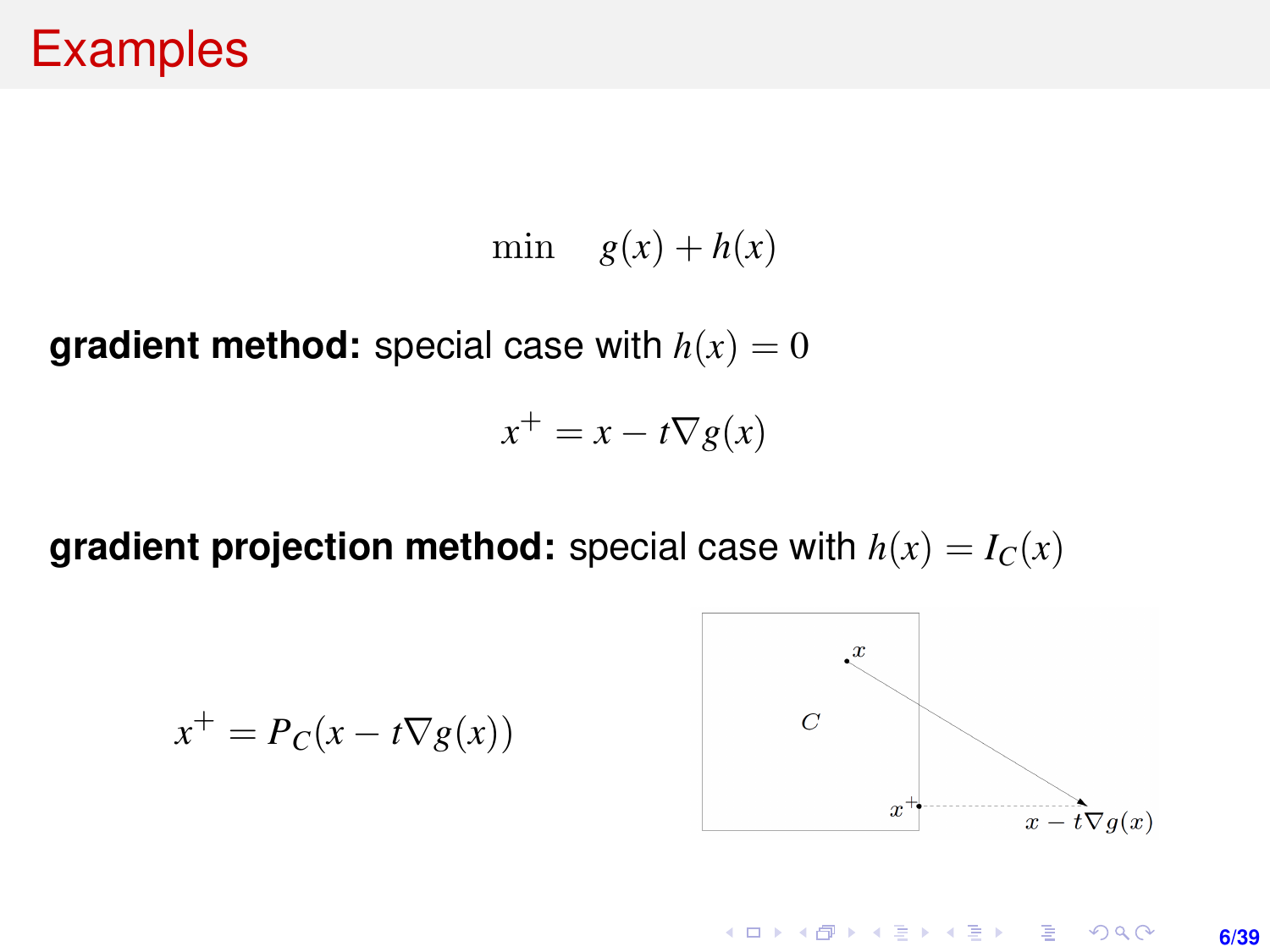min  $g(x) + h(x)$ 

**gradient method:** special case with  $h(x) = 0$ 

$$
x^+ = x - t \nabla g(x)
$$

**gradient projection method:** special case with  $h(x) = I_C(x)$ 

$$
x^+ = P_C(x - t\nabla g(x))
$$



**KORKARK (EXIST) E MOOR 6/39**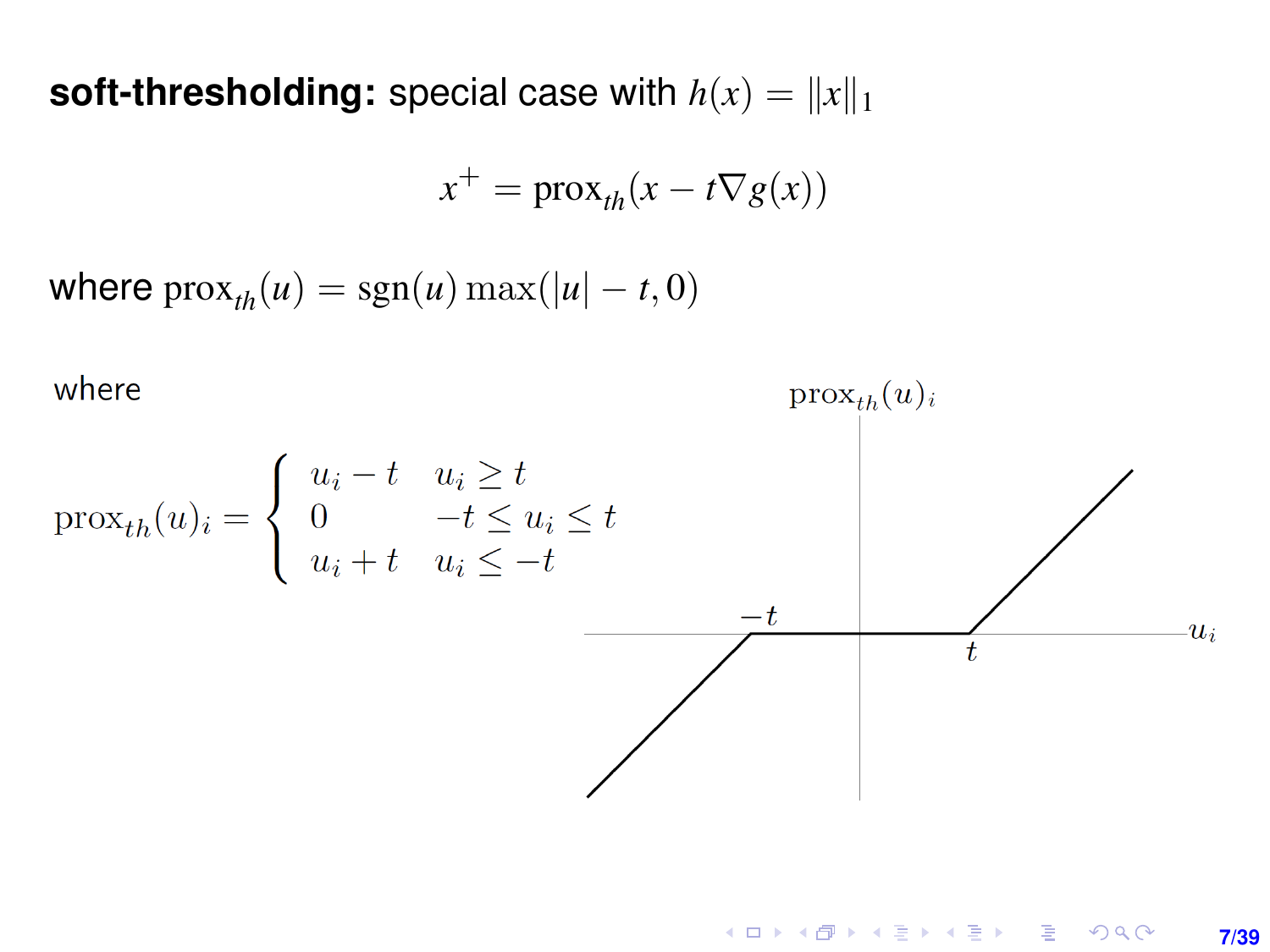**soft-thresholding:** special case with  $h(x) = ||x||_1$ 

$$
x^+ = \text{prox}_{th}(x - t\nabla g(x))
$$

where  $prox_{th}(u) = \text{sgn}(u) \max(|u| - t, 0)$ 

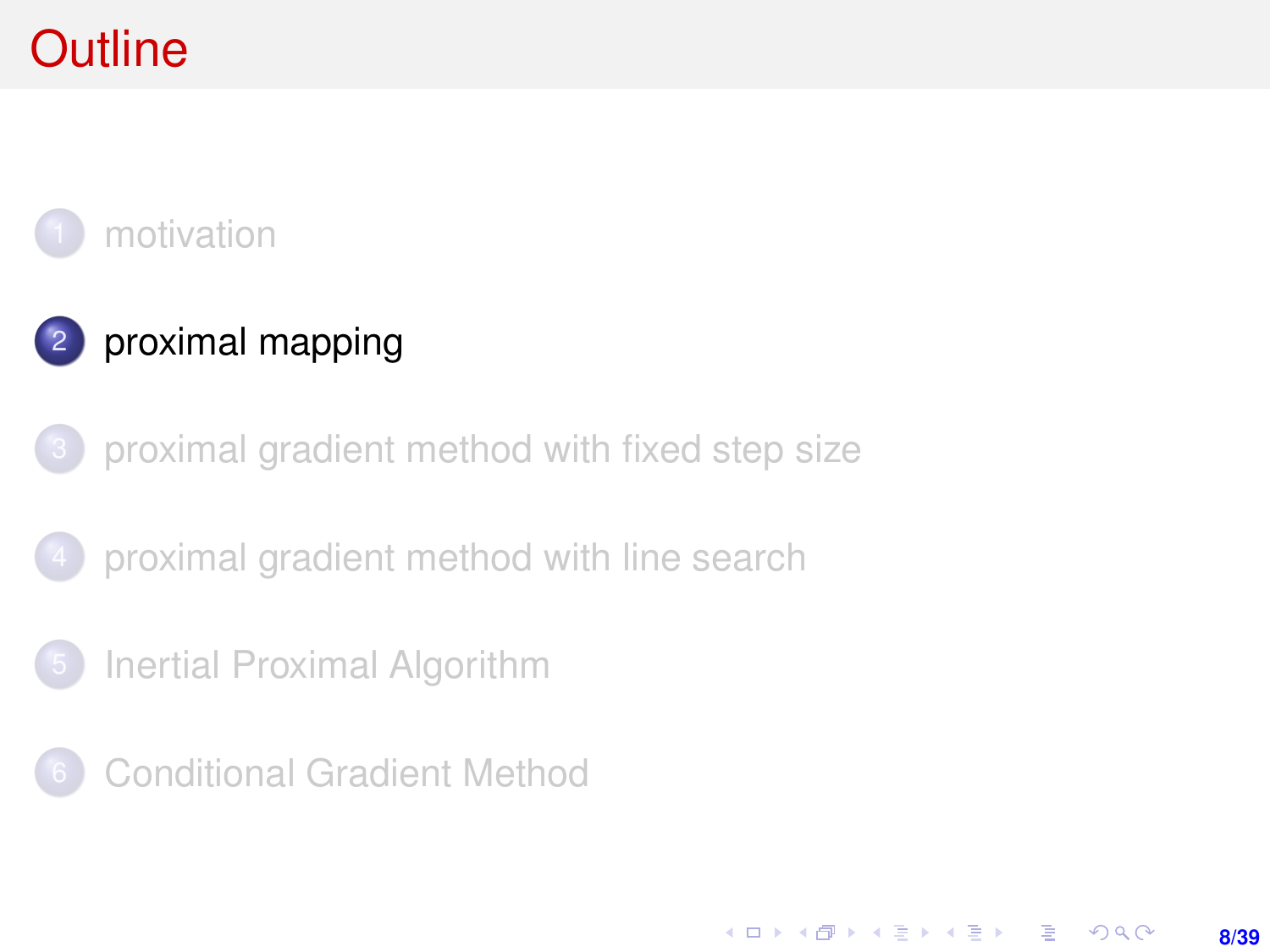# <span id="page-7-0"></span>**Outline**

#### [motivation](#page-1-0)

## 2 [proximal mapping](#page-7-0)

- [proximal gradient method with fixed step size](#page-11-0)
- 4 [proximal gradient method with line search](#page-20-0)
- 5 [Inertial Proximal Algorithm](#page-26-0)
- **[Conditional Gradient Method](#page-28-0)**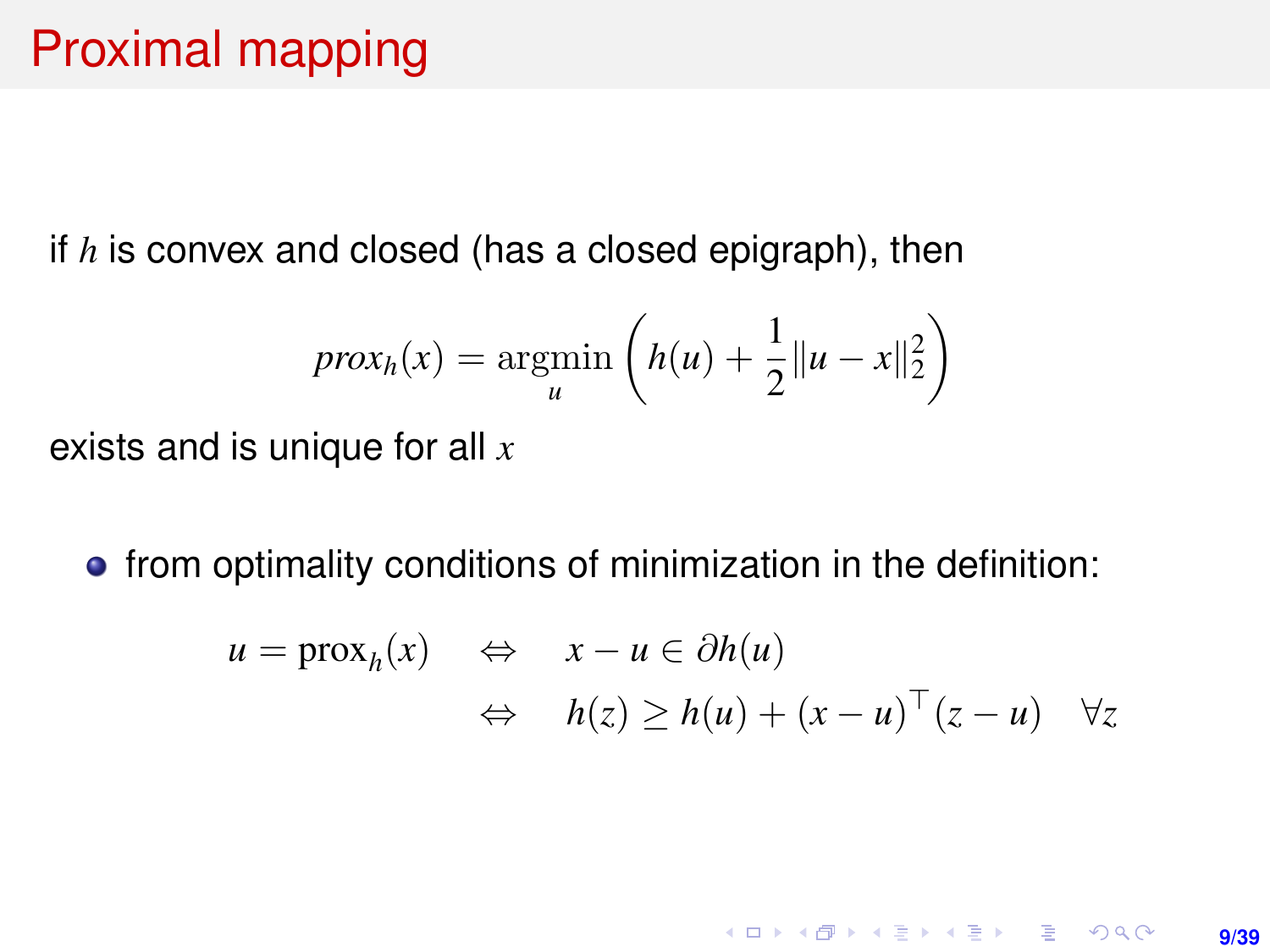## Proximal mapping

<span id="page-8-0"></span>if *h* is convex and closed (has a closed epigraph), then

$$
prox_h(x) = \operatorname*{argmin}_{u} \left( h(u) + \frac{1}{2} ||u - x||_2^2 \right)
$$

exists and is unique for all *x*

**•** from optimality conditions of minimization in the definition:

$$
u = \text{prox}_h(x) \quad \Leftrightarrow \quad x - u \in \partial h(u)
$$
  

$$
\Leftrightarrow \quad h(z) \ge h(u) + (x - u)^\top (z - u) \quad \forall z
$$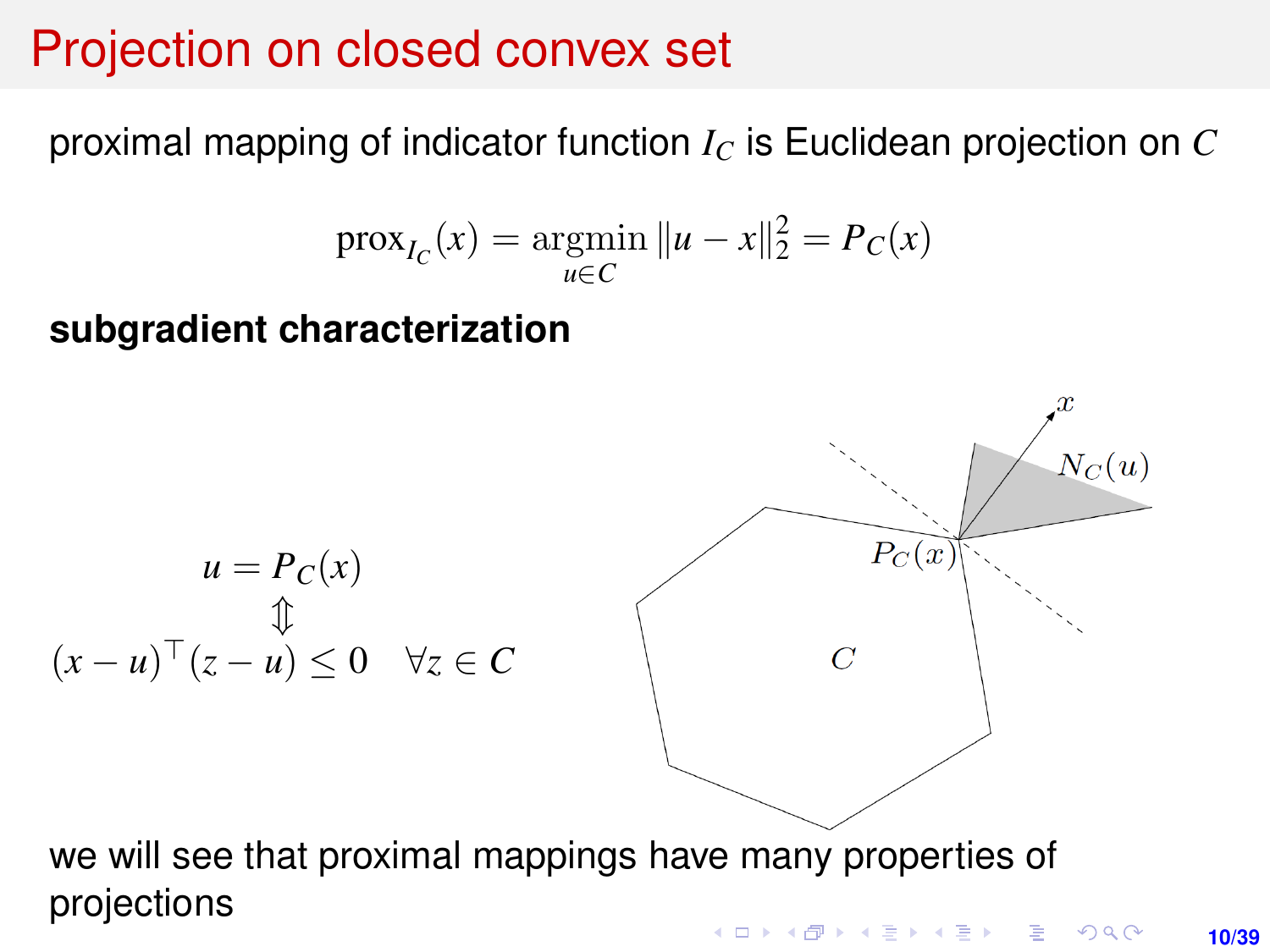## Projection on closed convex set

proximal mapping of indicator function *I<sup>C</sup>* is Euclidean projection on *C*

$$
prox_{I_C}(x) = \underset{u \in C}{\text{argmin}} ||u - x||_2^2 = P_C(x)
$$

**subgradient characterization**

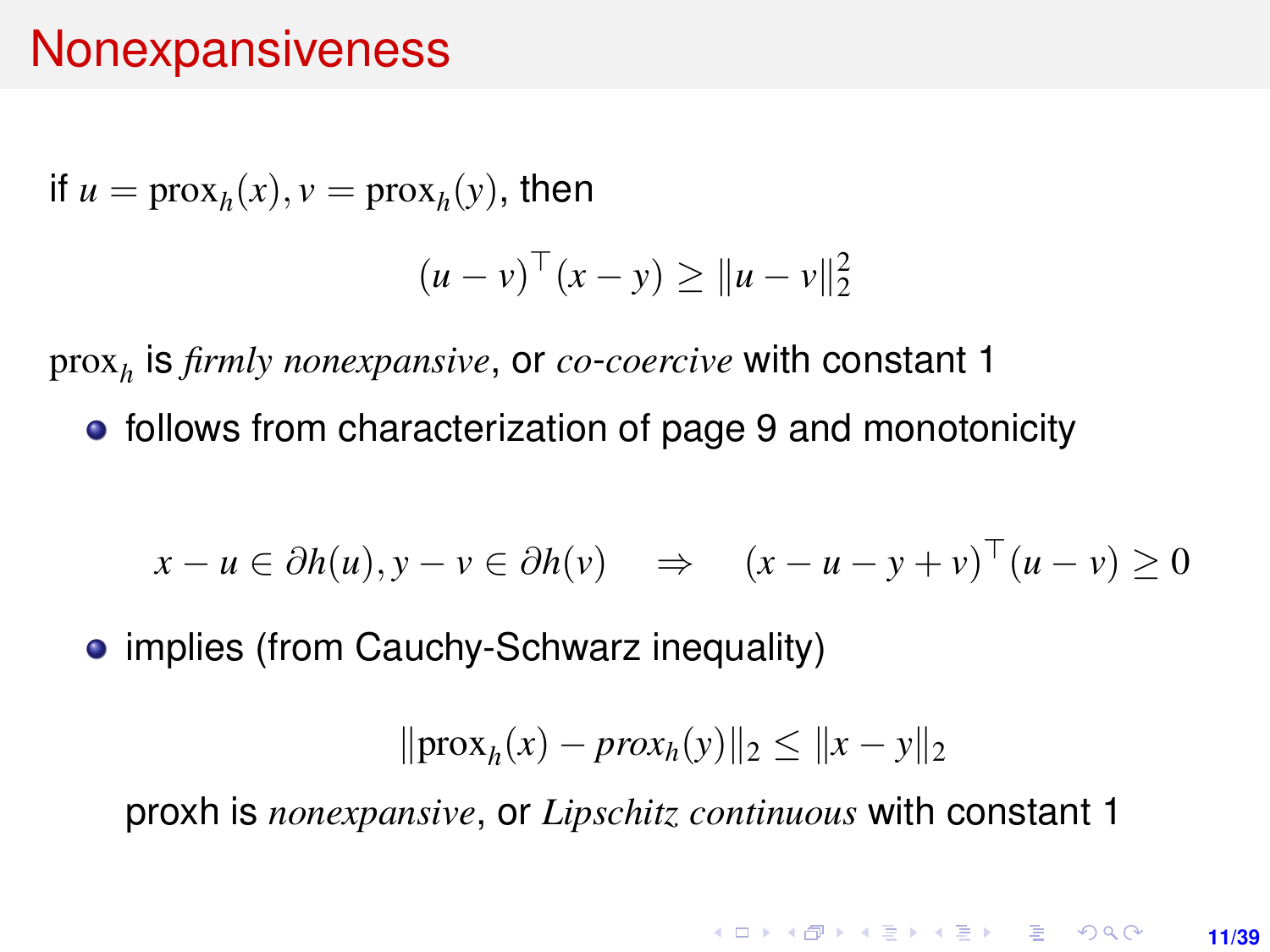### **Nonexpansiveness**

if  $u = \text{prox}_h(x)$ ,  $v = \text{prox}_h(y)$ , then

$$
(u - v)^{\top} (x - y) \ge ||u - v||_2^2
$$

prox*<sup>h</sup>* is *firmly nonexpansive*, or *co*-*coercive* with constant 1

• follows from characterization of page [9](#page-8-0) and monotonicity

$$
x - u \in \partial h(u), y - v \in \partial h(v) \quad \Rightarrow \quad (x - u - y + v)^\top (u - v) \ge 0
$$

• implies (from Cauchy-Schwarz inequality)

$$
\|\text{prox}_{h}(x) - \text{prox}_{h}(y)\|_{2} \le \|x - y\|_{2}
$$

proxh is *nonexpansive*, or *Lipschitz continuous* with constant 1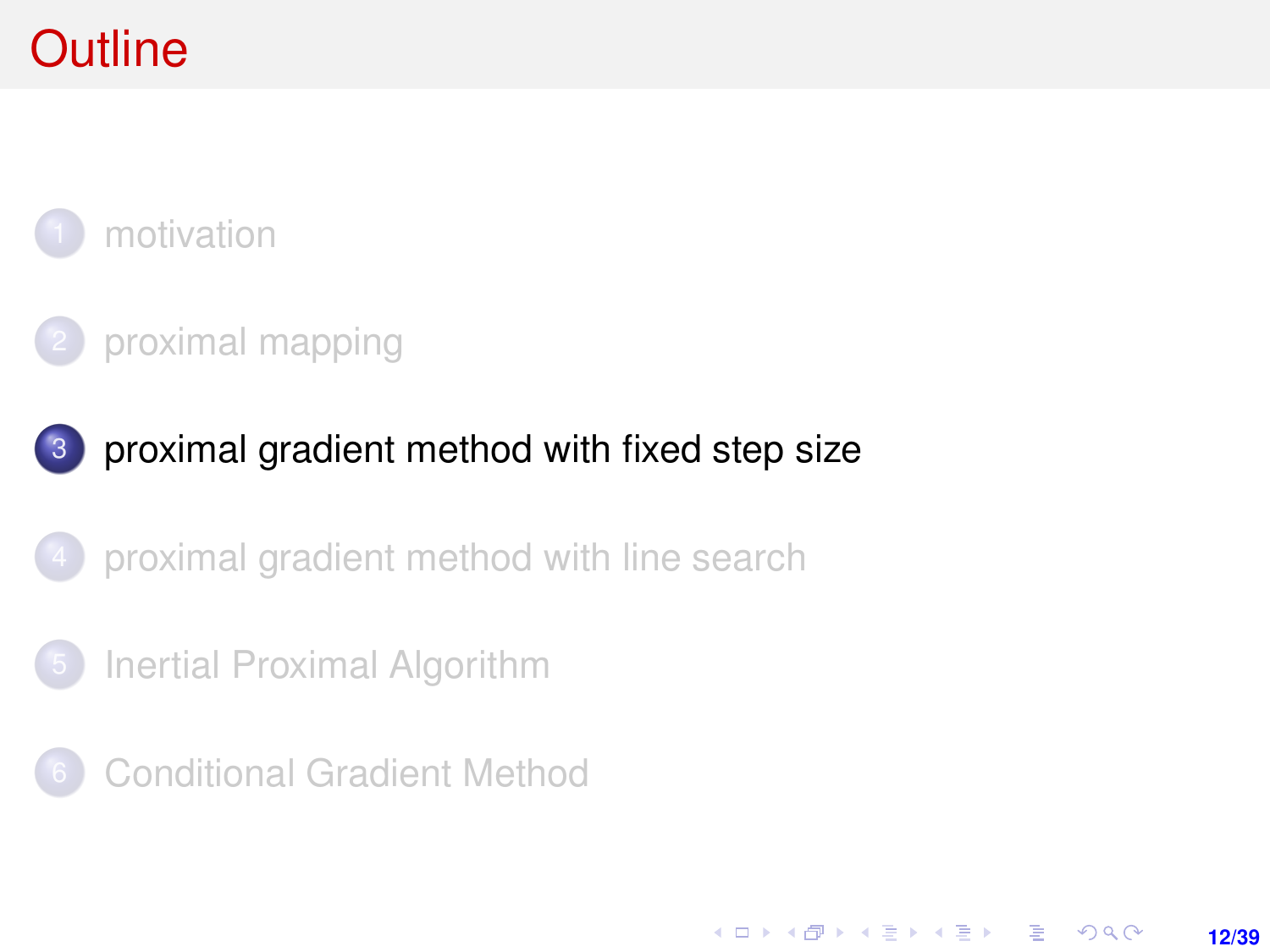# <span id="page-11-0"></span>**Outline**



#### [proximal mapping](#page-7-0)

#### 3 [proximal gradient method with fixed step size](#page-11-0)

- [proximal gradient method with line search](#page-20-0)
- [Inertial Proximal Algorithm](#page-26-0)
- **[Conditional Gradient Method](#page-28-0)**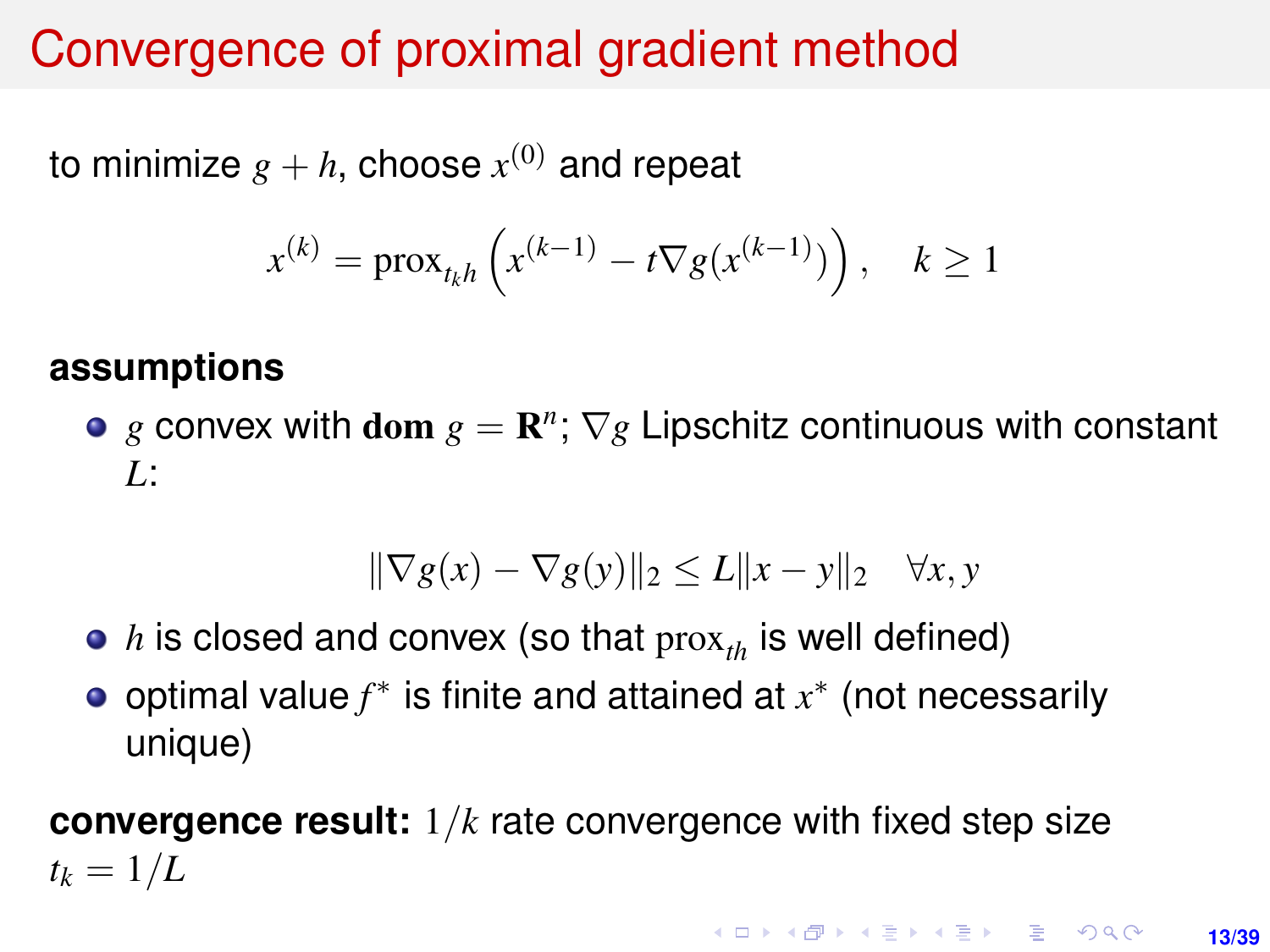## Convergence of proximal gradient method

to minimize  $g+h$ , choose  $x^{(0)}$  and repeat

$$
x^{(k)} = \text{prox}_{t_k h} \left( x^{(k-1)} - t \nabla g(x^{(k-1)}) \right), \quad k \ge 1
$$

#### **assumptions**

 $g$  convex with dom  $g = \mathbf{R}^n$ ;  $\nabla g$  Lipschitz continuous with constant *L*:

$$
\|\nabla g(x) - \nabla g(y)\|_2 \le L\|x - y\|_2 \quad \forall x, y
$$

- $\bullet$  *h* is closed and convex (so that  $prox_{th}$  is well defined)
- optimal value *f* ∗ is finite and attained at *x* ∗ (not necessarily unique)

**convergence result:** 1/*k* rate convergence with fixed step size  $t_k = 1/L$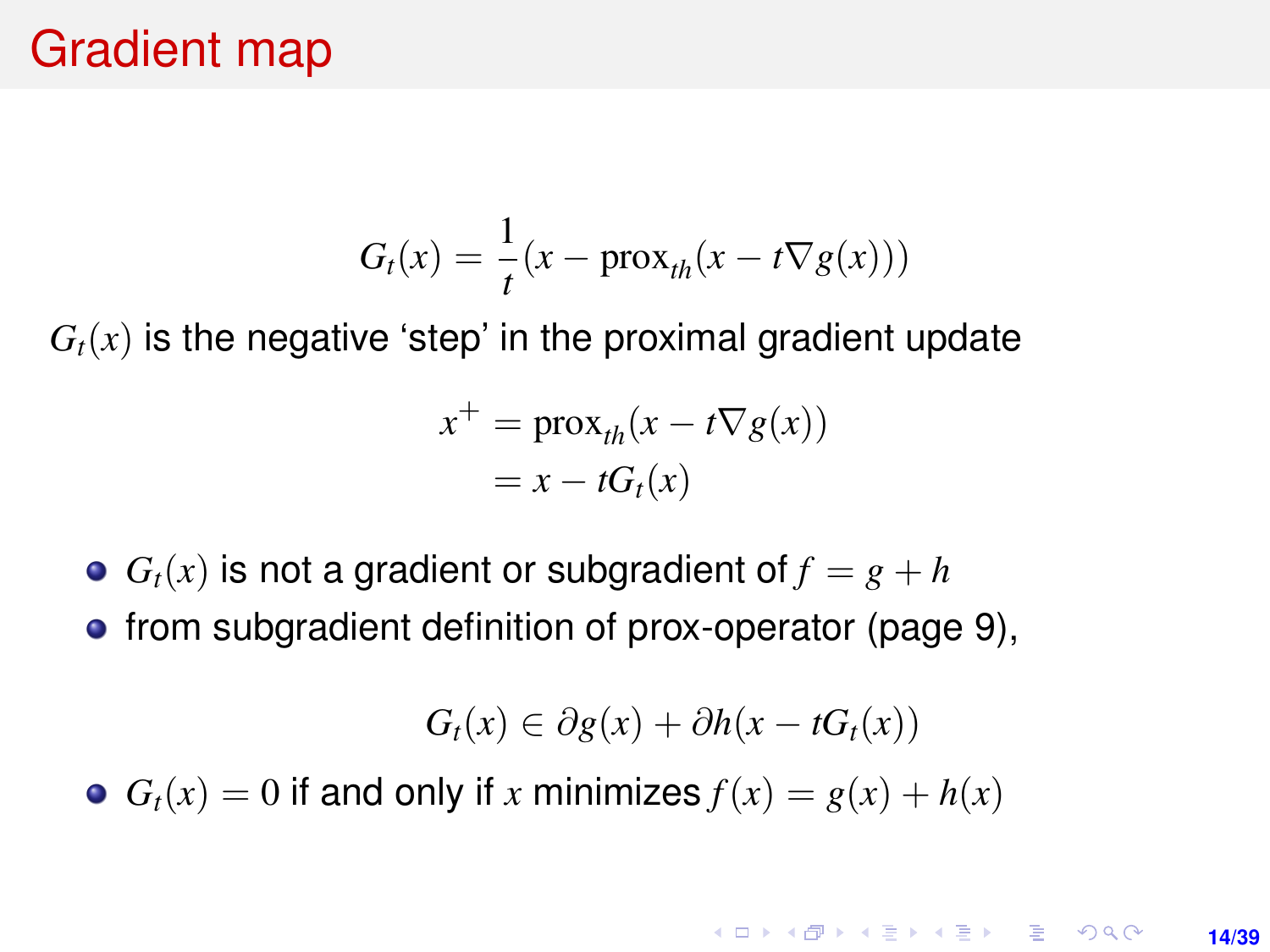## Gradient map

$$
G_t(x) = \frac{1}{t}(x - \text{prox}_{th}(x - t\nabla g(x)))
$$

 $G_t(x)$  is the negative 'step' in the proximal gradient update

$$
x^{+} = \text{prox}_{th}(x - t\nabla g(x))
$$
  
=  $x - tG_t(x)$ 

- $G_t(x)$  is not a gradient or subgradient of  $f = g + h$
- from subgradient definition of prox-operator (page [9\)](#page-8-0),

$$
G_t(x) \in \partial g(x) + \partial h(x - tG_t(x))
$$

•  $G_t(x) = 0$  if and only if *x* minimizes  $f(x) = g(x) + h(x)$ 

#### **KORKARK KERKER DRAM 14/39**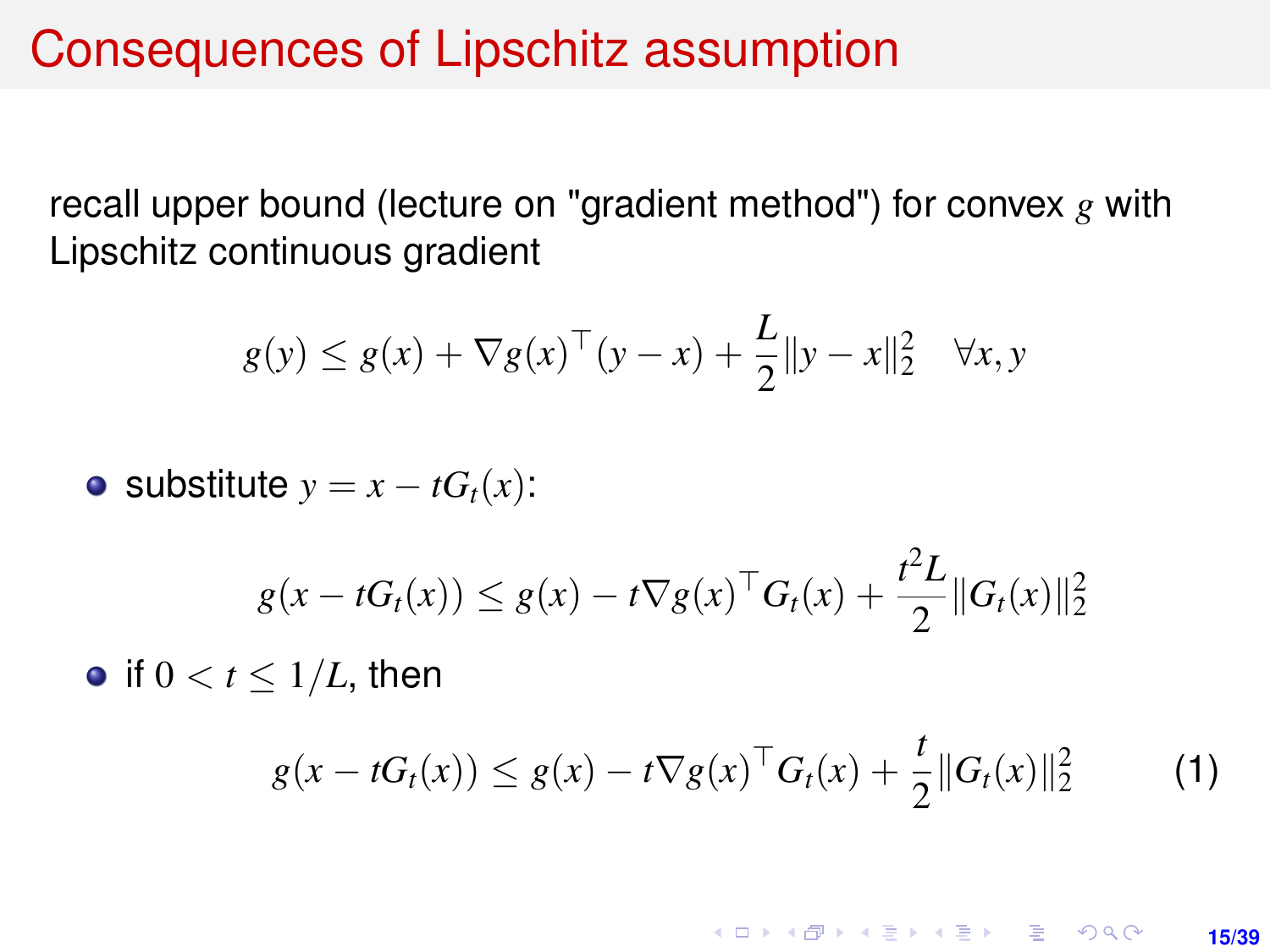## Consequences of Lipschitz assumption

recall upper bound (lecture on "gradient method") for convex *g* with Lipschitz continuous gradient

$$
g(y) \le g(x) + \nabla g(x)^\top (y - x) + \frac{L}{2} \|y - x\|_2^2 \quad \forall x, y
$$

• substitute  $y = x - tG_t(x)$ :

$$
g(x - tG_t(x)) \leq g(x) - t\nabla g(x)^\top G_t(x) + \frac{t^2 L}{2} ||G_t(x)||_2^2
$$

• if  $0 < t < 1/L$ , then

<span id="page-14-0"></span>
$$
g(x - tG_t(x)) \leq g(x) - t\nabla g(x)^\top G_t(x) + \frac{t}{2} ||G_t(x)||_2^2 \tag{1}
$$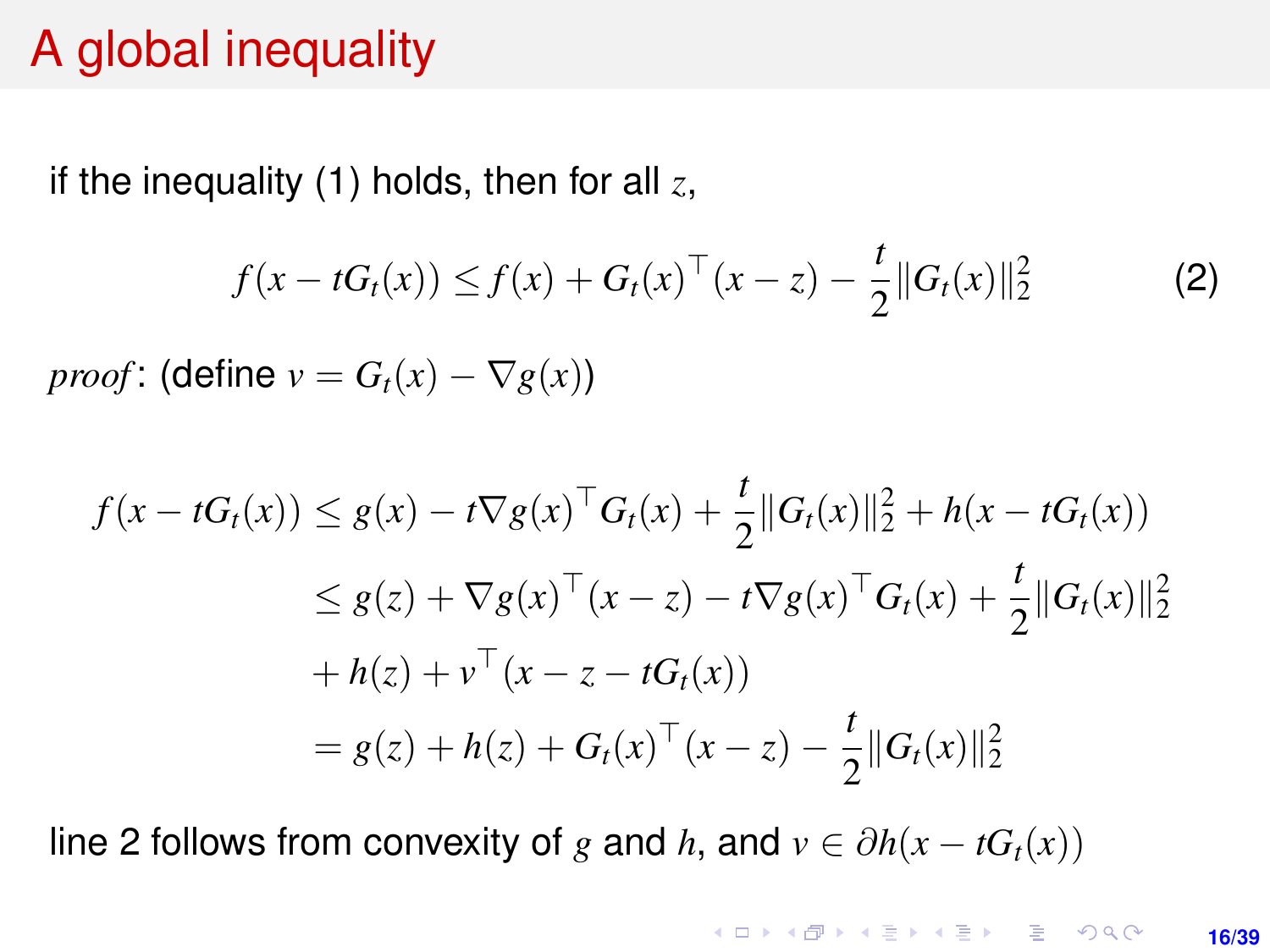## A global inequality

if the inequality [\(1\)](#page-14-0) holds, then for all *z*,

<span id="page-15-0"></span>
$$
f(x - tG_t(x)) \le f(x) + G_t(x)^{\top}(x - z) - \frac{t}{2} ||G_t(x)||_2^2
$$
 (2)  
proof: (define  $v = G_t(x) - \nabla g(x)$ )

$$
f(x - tG_t(x)) \le g(x) - t\nabla g(x)^\top G_t(x) + \frac{t}{2} ||G_t(x)||_2^2 + h(x - tG_t(x))
$$
  
\n
$$
\le g(z) + \nabla g(x)^\top (x - z) - t\nabla g(x)^\top G_t(x) + \frac{t}{2} ||G_t(x)||_2^2
$$
  
\n
$$
+ h(z) + v^\top (x - z - tG_t(x))
$$
  
\n
$$
= g(z) + h(z) + G_t(x)^\top (x - z) - \frac{t}{2} ||G_t(x)||_2^2
$$

line 2 follows from convexity of *g* and *h*, and  $v \in \partial h(x - tG_t(x))$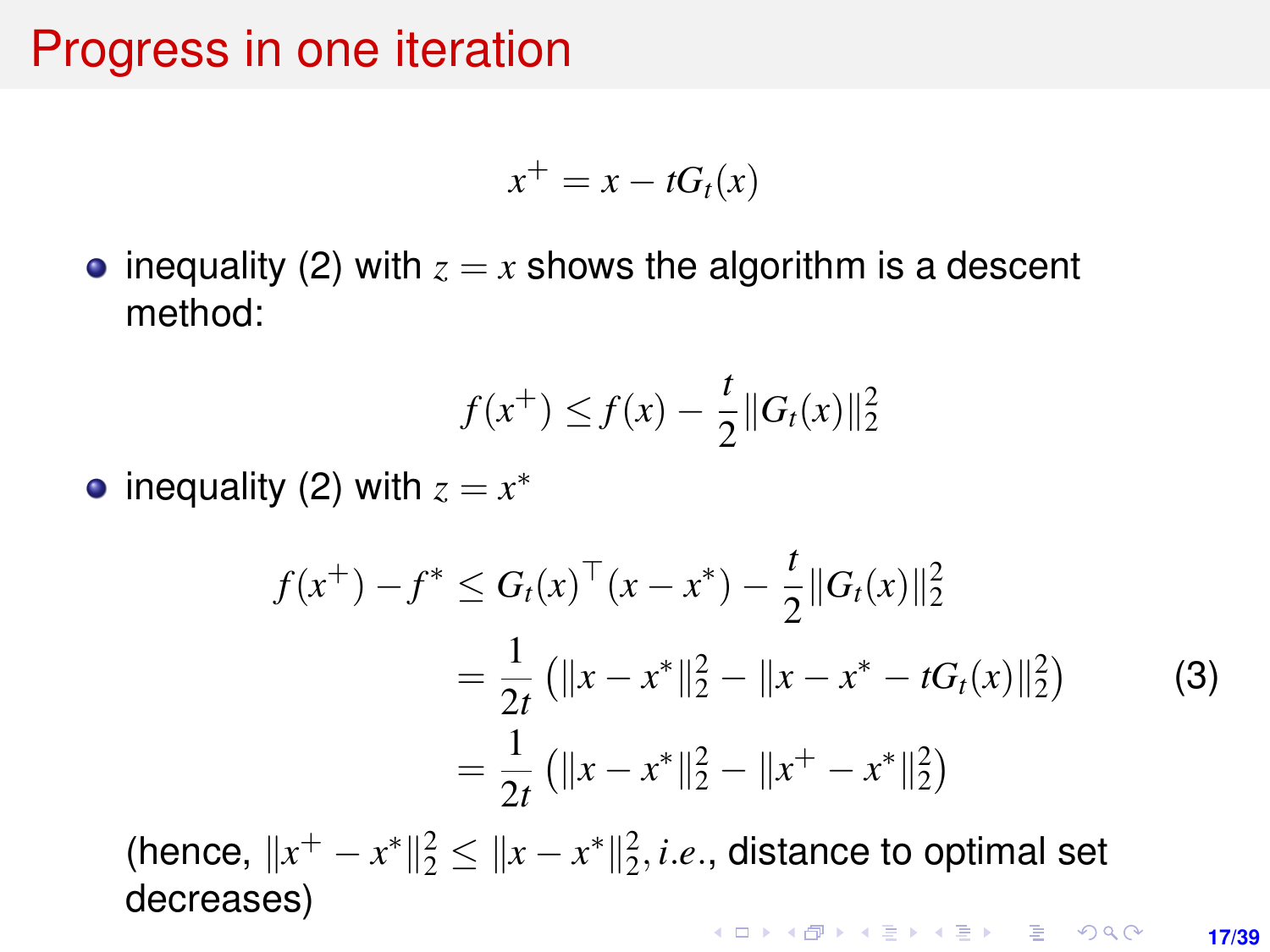## Progress in one iteration

$$
x^+ = x - tG_t(x)
$$

• inequality [\(2\)](#page-15-0) with  $z = x$  shows the algorithm is a descent method:

$$
f(x^{+}) \le f(x) - \frac{t}{2} ||G_t(x)||_2^2
$$

inequality [\(2\)](#page-15-0) with  $z = x^*$ 

<span id="page-16-0"></span>
$$
f(x^{+}) - f^{*} \leq G_{t}(x)^{\top}(x - x^{*}) - \frac{t}{2} ||G_{t}(x)||_{2}^{2}
$$
  
\n
$$
= \frac{1}{2t} (||x - x^{*}||_{2}^{2} - ||x - x^{*} - tG_{t}(x)||_{2}^{2})
$$
(3)  
\n
$$
= \frac{1}{2t} (||x - x^{*}||_{2}^{2} - ||x^{+} - x^{*}||_{2}^{2})
$$
  
\n(hence,  $||x^{+} - x^{*}||_{2}^{2} \leq ||x - x^{*}||_{2}^{2}$ , *i.e.*, distance to optimal set decreases)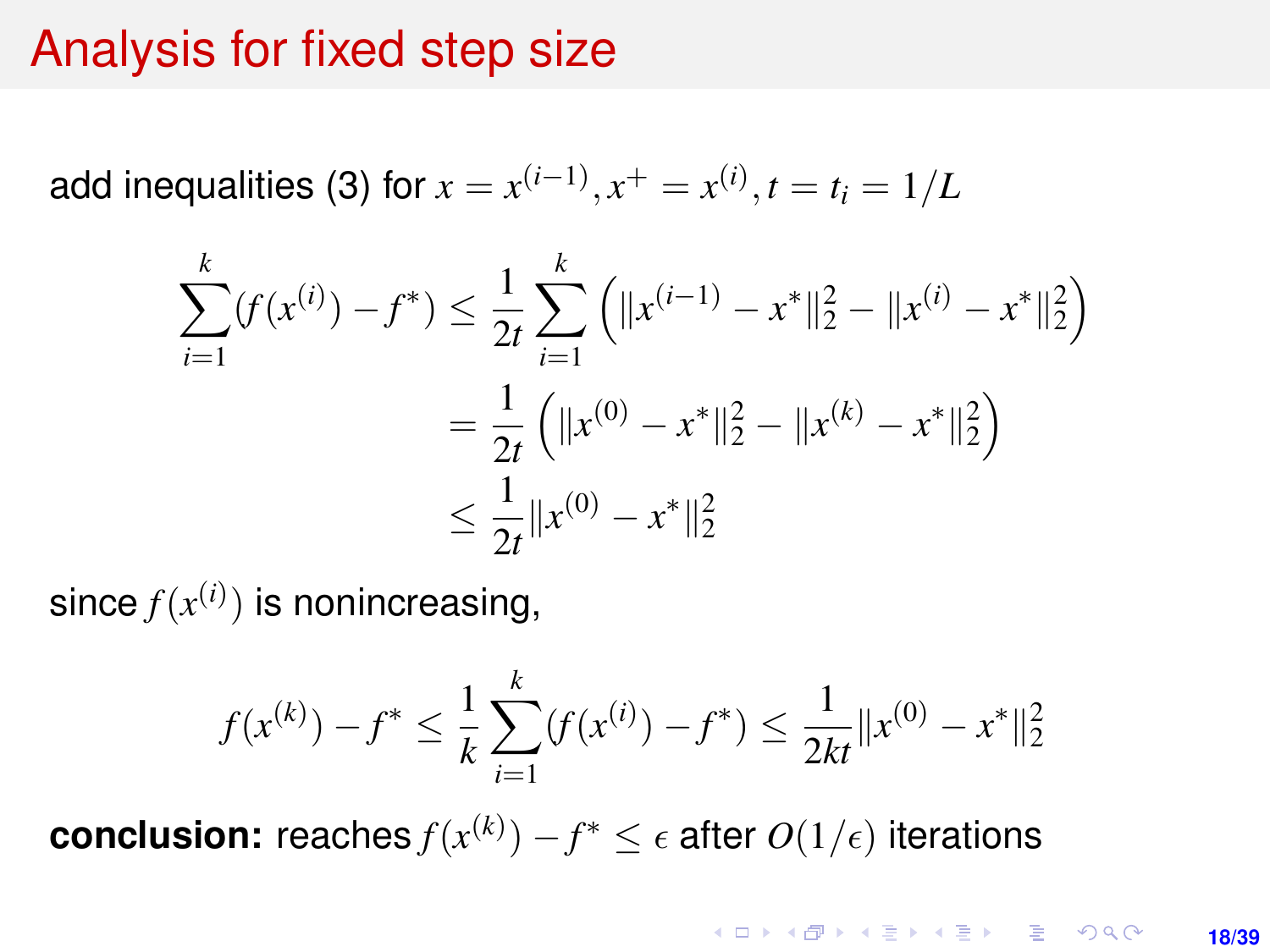## Analysis for fixed step size

add inequalities [\(3\)](#page-16-0) for  $x = x^{(i-1)}$ ,  $x^+ = x^{(i)}$ ,  $t = t_i = 1/L$ 

$$
\sum_{i=1}^{k} (f(x^{(i)}) - f^*) \le \frac{1}{2t} \sum_{i=1}^{k} \left( \|x^{(i-1)} - x^*\|_2^2 - \|x^{(i)} - x^*\|_2^2 \right)
$$
  
=  $\frac{1}{2t} \left( \|x^{(0)} - x^*\|_2^2 - \|x^{(k)} - x^*\|_2^2 \right)$   
 $\le \frac{1}{2t} \|x^{(0)} - x^*\|_2^2$ 

since  $f(x^{(i)})$  is nonincreasing,

$$
f(x^{(k)}) - f^* \le \frac{1}{k} \sum_{i=1}^k (f(x^{(i)}) - f^*) \le \frac{1}{2kt} ||x^{(0)} - x^*||_2^2
$$

**conclusion:** reaches  $f(x^{(k)}) - f^* \leq \epsilon$  after  $O(1/\epsilon)$  iterations

KO KKO KABIKA BIKA 2000 **18/39**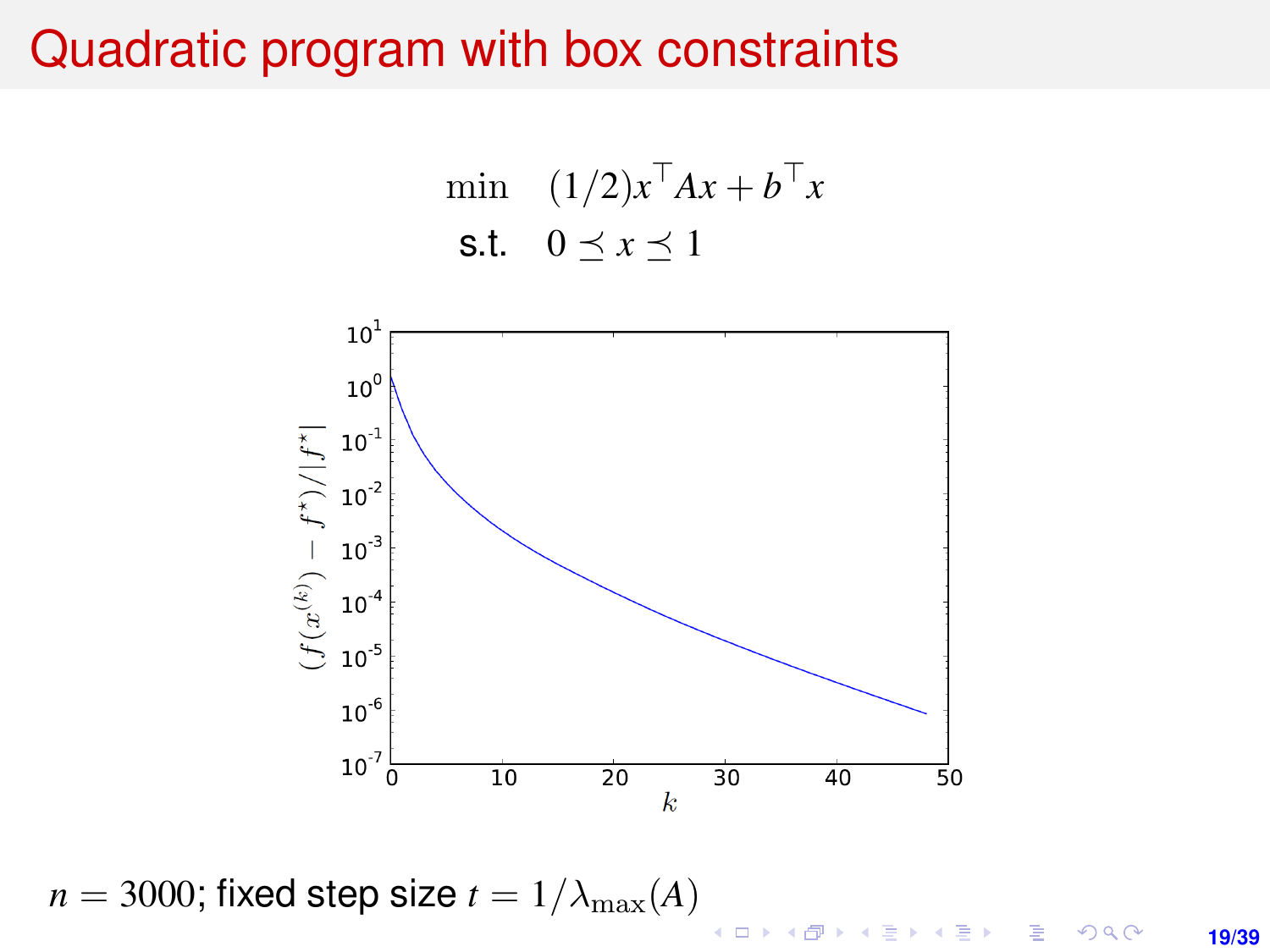#### Quadratic program with box constraints

min  $(1/2)x^{\top}Ax + b^{\top}x$ s.t.  $0 \le x \le 1$ 



 $n = 3000$ ; fixed step size  $t = 1/\lambda_{\text{max}}(A)$  $4$  ロ )  $4$   $6$  )  $4$   $2$  )  $4$   $2$  )  $\equiv$  $299$ **19/39**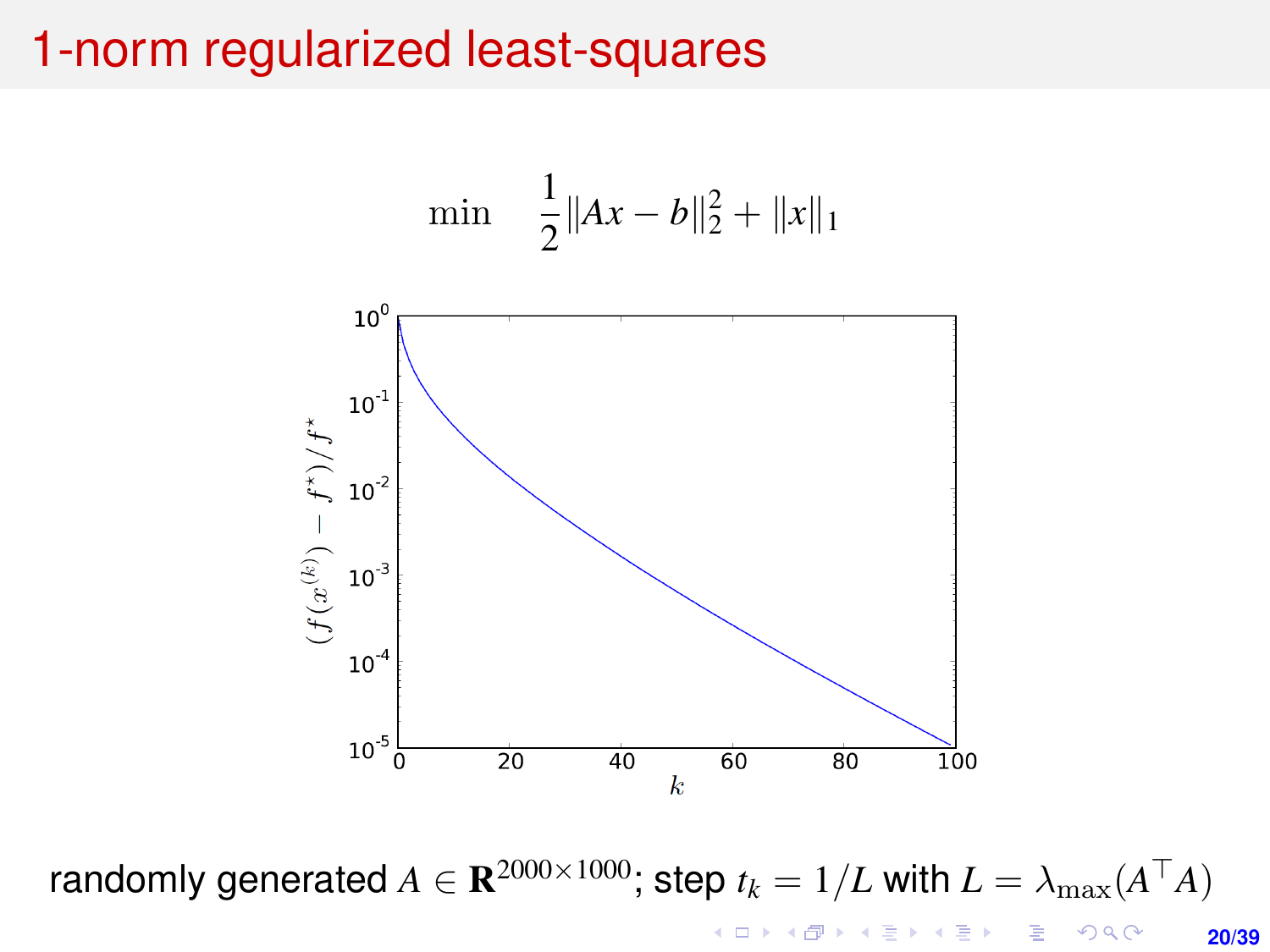#### 1-norm regularized least-squares

$$
\min \quad \frac{1}{2} \|Ax - b\|_2^2 + \|x\|_1
$$



randomly generated  $A \in \mathbf{R}^{2000 \times 1000}$ ; step  $t_k = 1/L$  with  $L = \lambda_{\max}(A^\top A)$ イロトメ 御 トメ 君 トメ 君 ト ă  $2Q$ **20/39**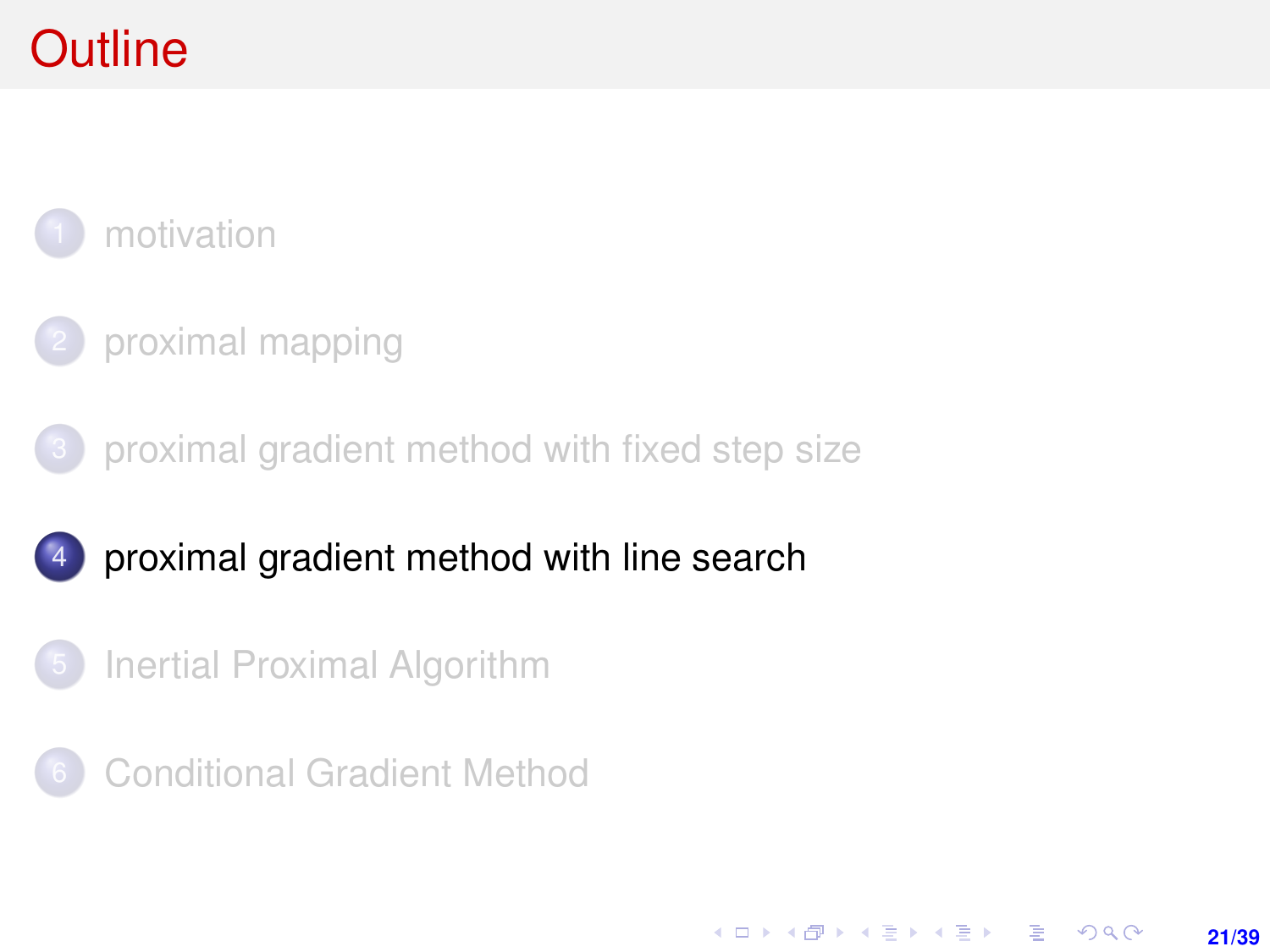# <span id="page-20-0"></span>**Outline**



- [proximal mapping](#page-7-0)
- [proximal gradient method with fixed step size](#page-11-0)

**21/39**

KO KARK KEK LE KORA

#### 4 [proximal gradient method with line search](#page-20-0)

- [Inertial Proximal Algorithm](#page-26-0)
- **[Conditional Gradient Method](#page-28-0)**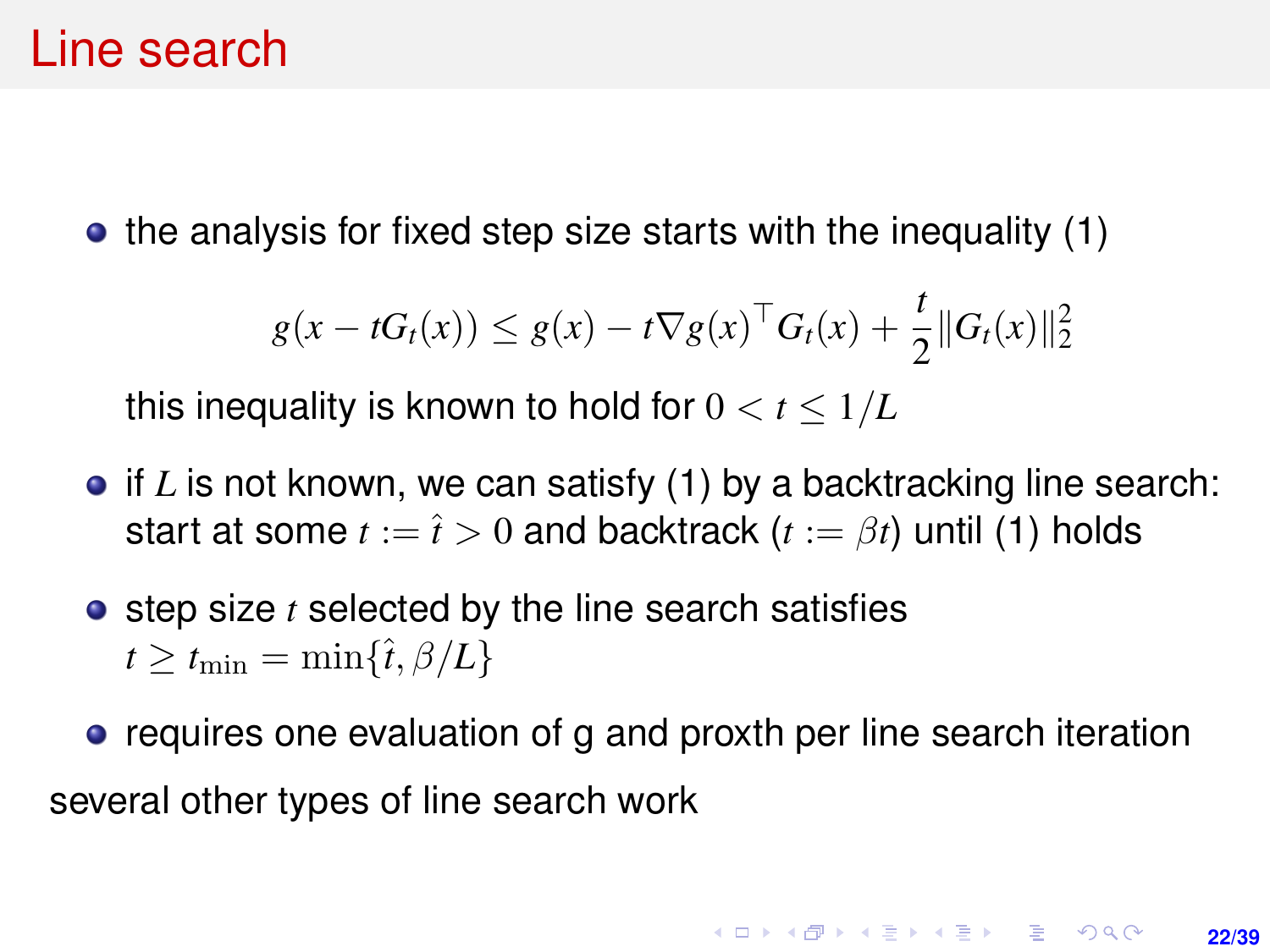## Line search

 $\bullet$  the analysis for fixed step size starts with the inequality [\(1\)](#page-14-0)

$$
g(x - tG_t(x)) \leq g(x) - t\nabla g(x)^\top G_t(x) + \frac{t}{2} ||G_t(x)||_2^2
$$

this inequality is known to hold for  $0 < t < 1/L$ 

- if *L* is not known, we can satisfy [\(1\)](#page-14-0) by a backtracking line search: start at some  $t := \hat{t} > 0$  and backtrack  $(t := \beta t)$  until [\(1\)](#page-14-0) holds
- **•** step size *t* selected by the line search satisfies  $t > t_{\min} = \min\{\hat{t}, \beta/L\}$
- requires one evaluation of g and proxth per line search iteration several other types of line search work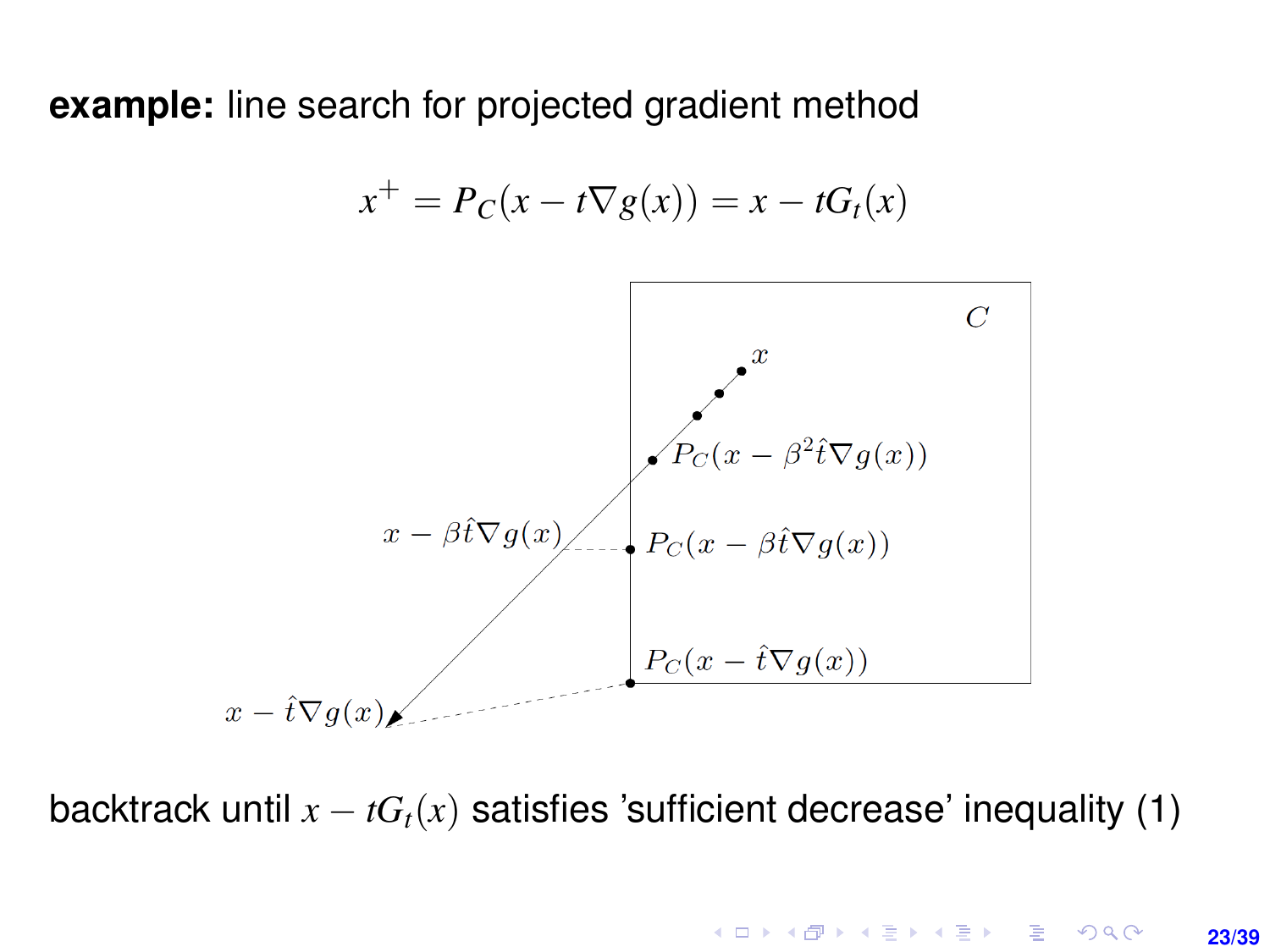**example:** line search for projected gradient method

$$
x^+ = P_C(x - t\nabla g(x)) = x - tG_t(x)
$$



backtrack until  $x - tG_t(x)$  satisfies 'sufficient decrease' inequality [\(1\)](#page-14-0)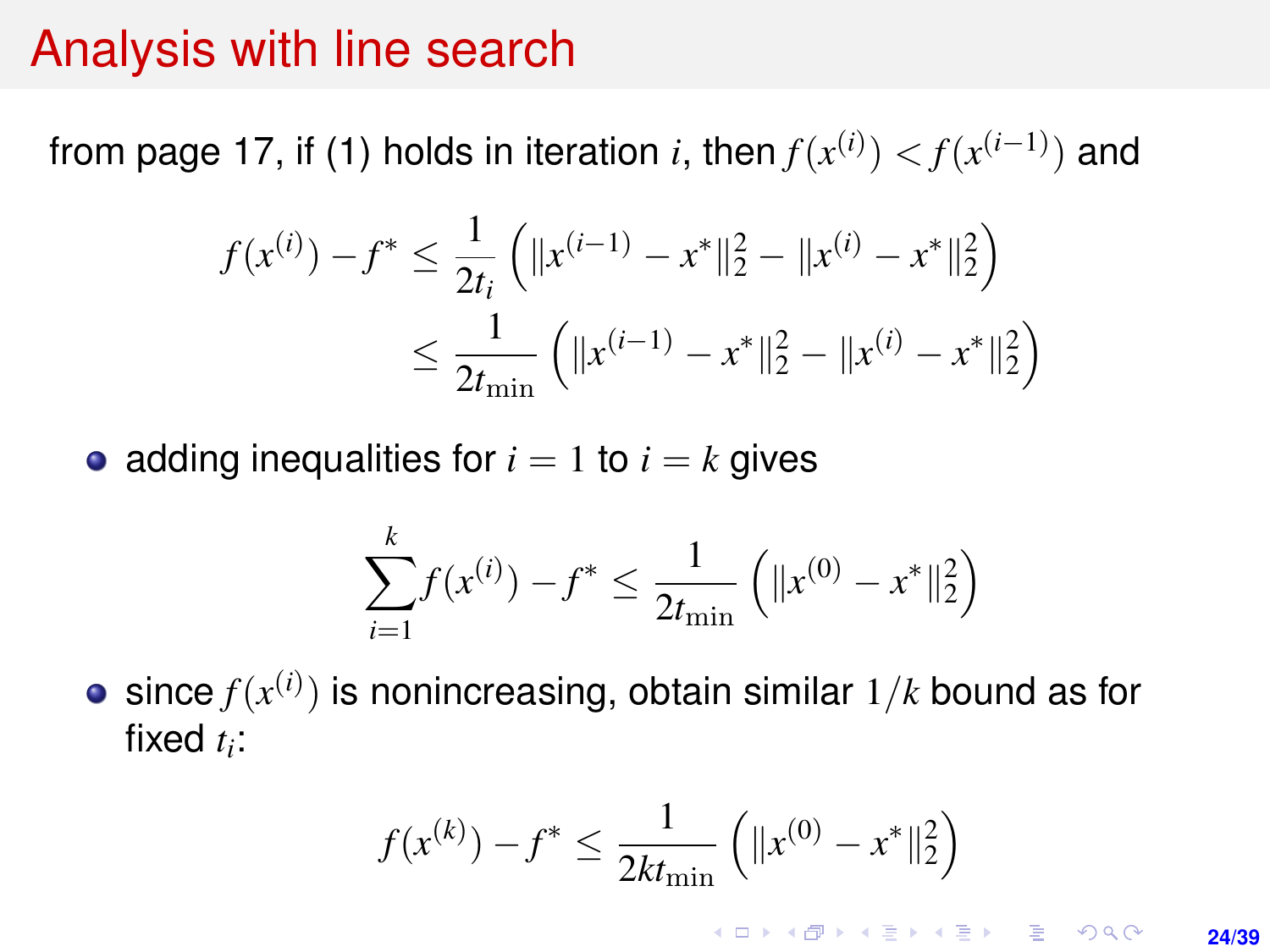## Analysis with line search

from page 17, if [\(1\)](#page-14-0) holds in iteration *i*, then  $f(x^{(i)}) < f(x^{(i-1)})$  and

$$
f(x^{(i)}) - f^* \le \frac{1}{2t_i} \left( \|x^{(i-1)} - x^*\|_2^2 - \|x^{(i)} - x^*\|_2^2 \right)
$$
  

$$
\le \frac{1}{2t_{\min}} \left( \|x^{(i-1)} - x^*\|_2^2 - \|x^{(i)} - x^*\|_2^2 \right)
$$

• adding inequalities for  $i = 1$  to  $i = k$  gives

$$
\sum_{i=1}^{k} f(x^{(i)}) - f^* \le \frac{1}{2t_{\min}} \left( \|x^{(0)} - x^*\|_2^2 \right)
$$

since *f*(*x* (*i*) ) is nonincreasing, obtain similar 1/*k* bound as for fixed *t<sup>i</sup>* :

$$
f(x^{(k)}) - f^* \le \frac{1}{2kt_{\min}} \left( \|x^{(0)} - x^*\|_2^2 \right)
$$

**KORKARK KERKER DRAM**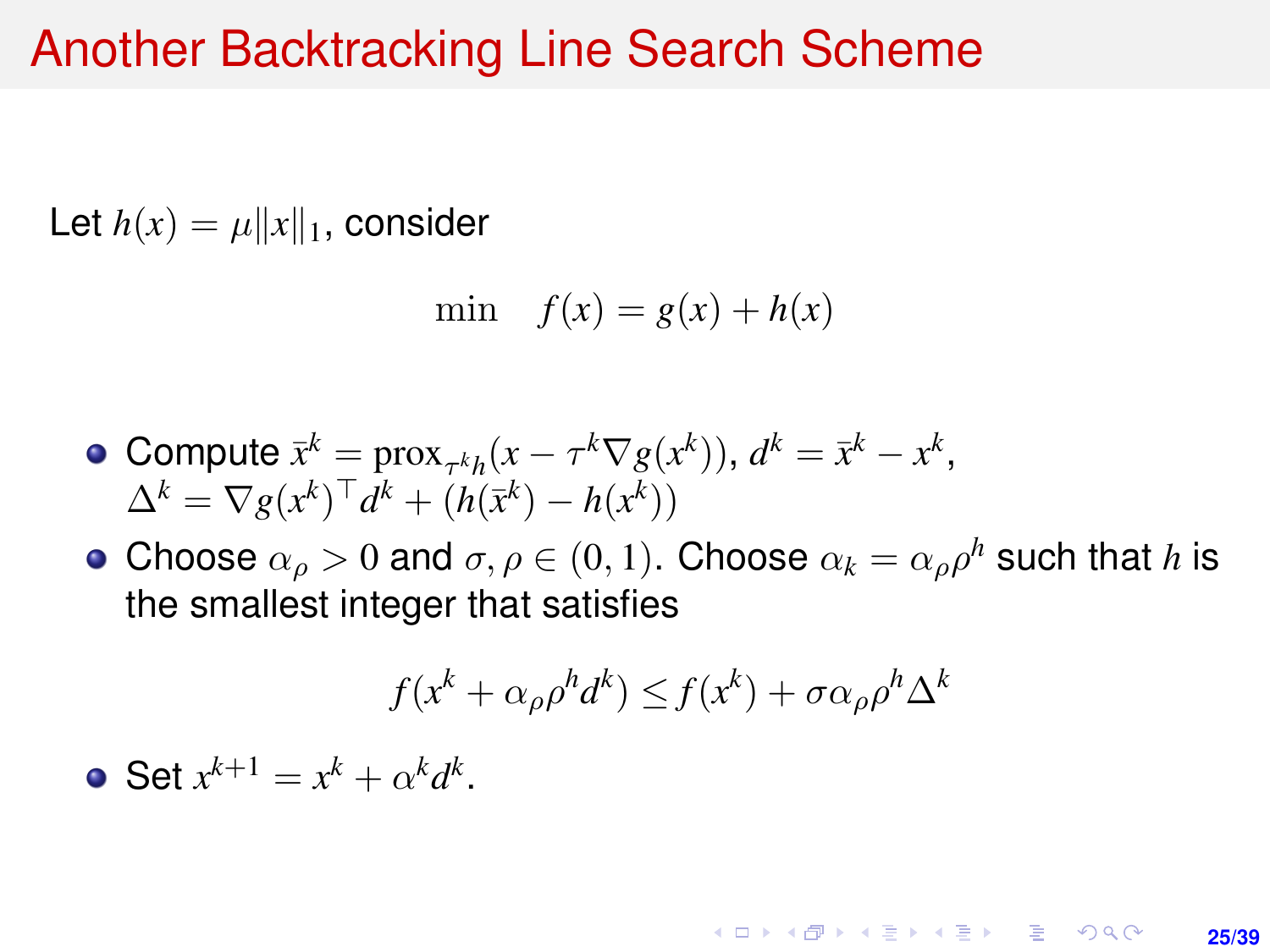#### Another Backtracking Line Search Scheme

Let  $h(x) = \mu ||x||_1$ , consider

$$
\min \quad f(x) = g(x) + h(x)
$$

• Compute 
$$
\bar{x}^k = \text{prox}_{\tau^k h}(x - \tau^k \nabla g(x^k))
$$
,  $d^k = \bar{x}^k - x^k$ ,  
\n
$$
\Delta^k = \nabla g(x^k)^\top d^k + (h(\bar{x}^k) - h(x^k))
$$

Choose  $\alpha_{\rho} > 0$  and  $\sigma, \rho \in (0, 1)$ . Choose  $\alpha_k = \alpha_{\rho} \rho^h$  such that *h* is the smallest integer that satisfies

$$
f(x^k + \alpha_{\rho} \rho^h d^k) \le f(x^k) + \sigma \alpha_{\rho} \rho^h \Delta^k
$$

Set  $x^{k+1} = x^k + \alpha^k d^k$ .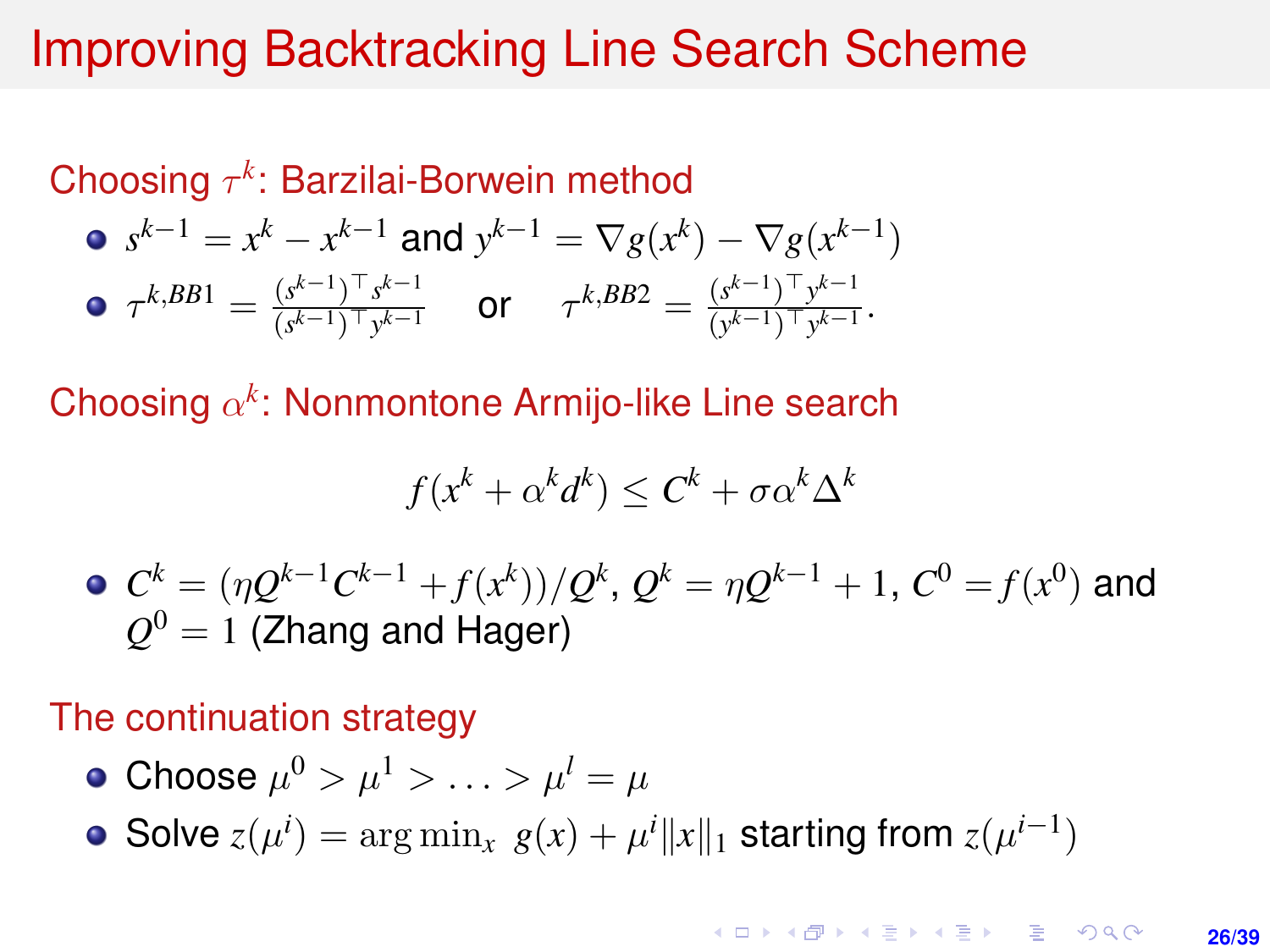## Improving Backtracking Line Search Scheme

Choosing  $τ<sup>k</sup>$ : Barzilai-Borwein method  $s^{k-1} = x^k - x^{k-1}$  and  $y^{k-1} = \nabla g(x^k) - \nabla g(x^{k-1})$  $\tau^{k,BB1} = \frac{(s^{k-1})^{\top} s^{k-1}}{(s^{k-1})^{\top} s^{k-1}}$  $\frac{(s^{k-1})^{\top} s^{k-1}}{(s^{k-1})^{\top} y^{k-1}}$  or  $\tau^{k, BB2} = \frac{(s^{k-1})^{\top} y^{k-1}}{(y^{k-1})^{\top} y^{k-1}}$  $\frac{(y^{k-1})^y}{(y^{k-1})^{\top}y^{k-1}}$ .

Choosing  $\alpha^k$ : Nonmontone Armijo-like Line search

$$
f(x^k + \alpha^k d^k) \le C^k + \sigma \alpha^k \Delta^k
$$

 $C^k = (\eta Q^{k-1} C^{k-1} + f(x^k))/Q^k$ ,  $Q^k = \eta Q^{k-1} + 1$ ,  $C^0 = f(x^0)$  and  $\mathcal{Q}^0 = 1$  (Zhang and Hager)

The continuation strategy

• Choose 
$$
\mu^0 > \mu^1 > \ldots > \mu^l = \mu
$$

Solve  $z(\mu^i) = \arg \min_x g(x) + \mu^i ||x||_1$  starting from  $z(\mu^{i-1})$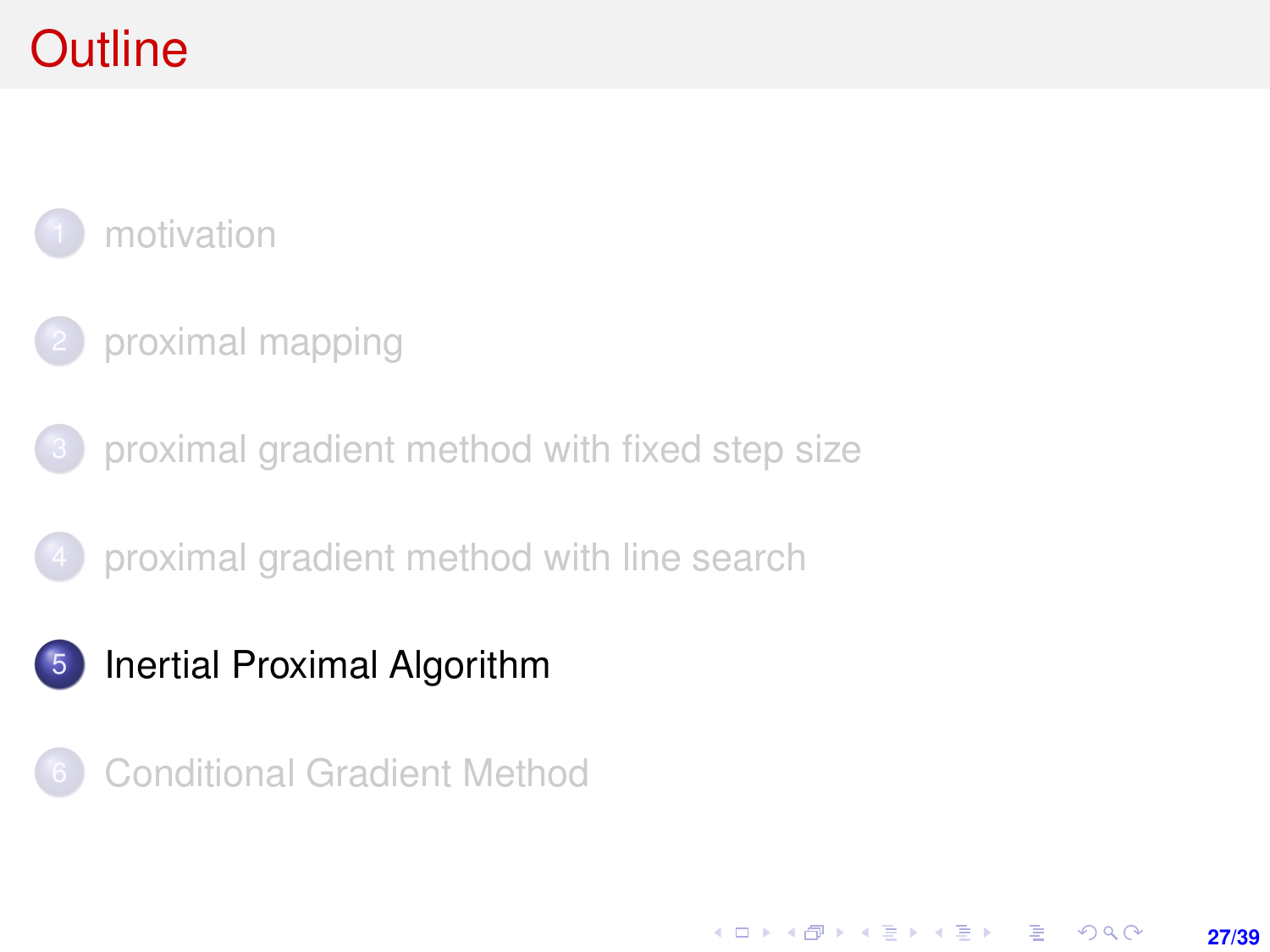# <span id="page-26-0"></span>**Outline**

### [motivation](#page-1-0)

- [proximal mapping](#page-7-0)
- [proximal gradient method with fixed step size](#page-11-0)
- 4 [proximal gradient method with line search](#page-20-0)
- 5 [Inertial Proximal Algorithm](#page-26-0)
- **[Conditional Gradient Method](#page-28-0)**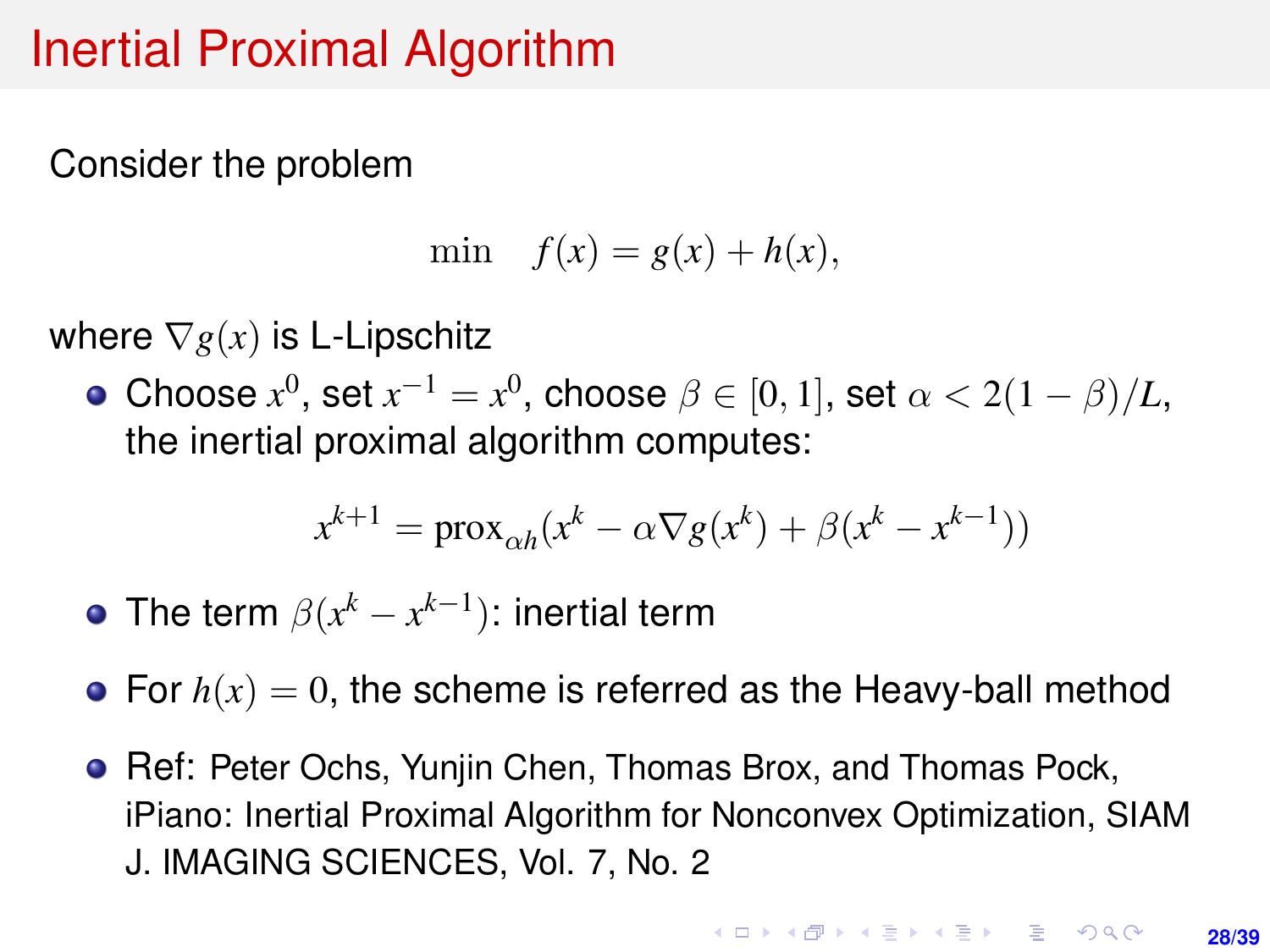## Inertial Proximal Algorithm

Consider the problem

$$
\min \quad f(x) = g(x) + h(x),
$$

where ∇*g*(*x*) is L-Lipschitz

Choose  $x^0$ , set  $x^{-1} = x^0$ , choose  $\beta \in [0, 1]$ , set  $\alpha < 2(1 - \beta)/L$ , the inertial proximal algorithm computes:

$$
x^{k+1} = \text{prox}_{\alpha h}(x^k - \alpha \nabla g(x^k) + \beta (x^k - x^{k-1}))
$$

- The term  $\beta(x^k x^{k-1})$ : inertial term
- For  $h(x) = 0$ , the scheme is referred as the Heavy-ball method
- **Ref: Peter Ochs, Yunjin Chen, Thomas Brox, and Thomas Pock,** iPiano: Inertial Proximal Algorithm for Nonconvex Optimization, SIAM J. IMAGING SCIENCES, Vol. 7, No. 2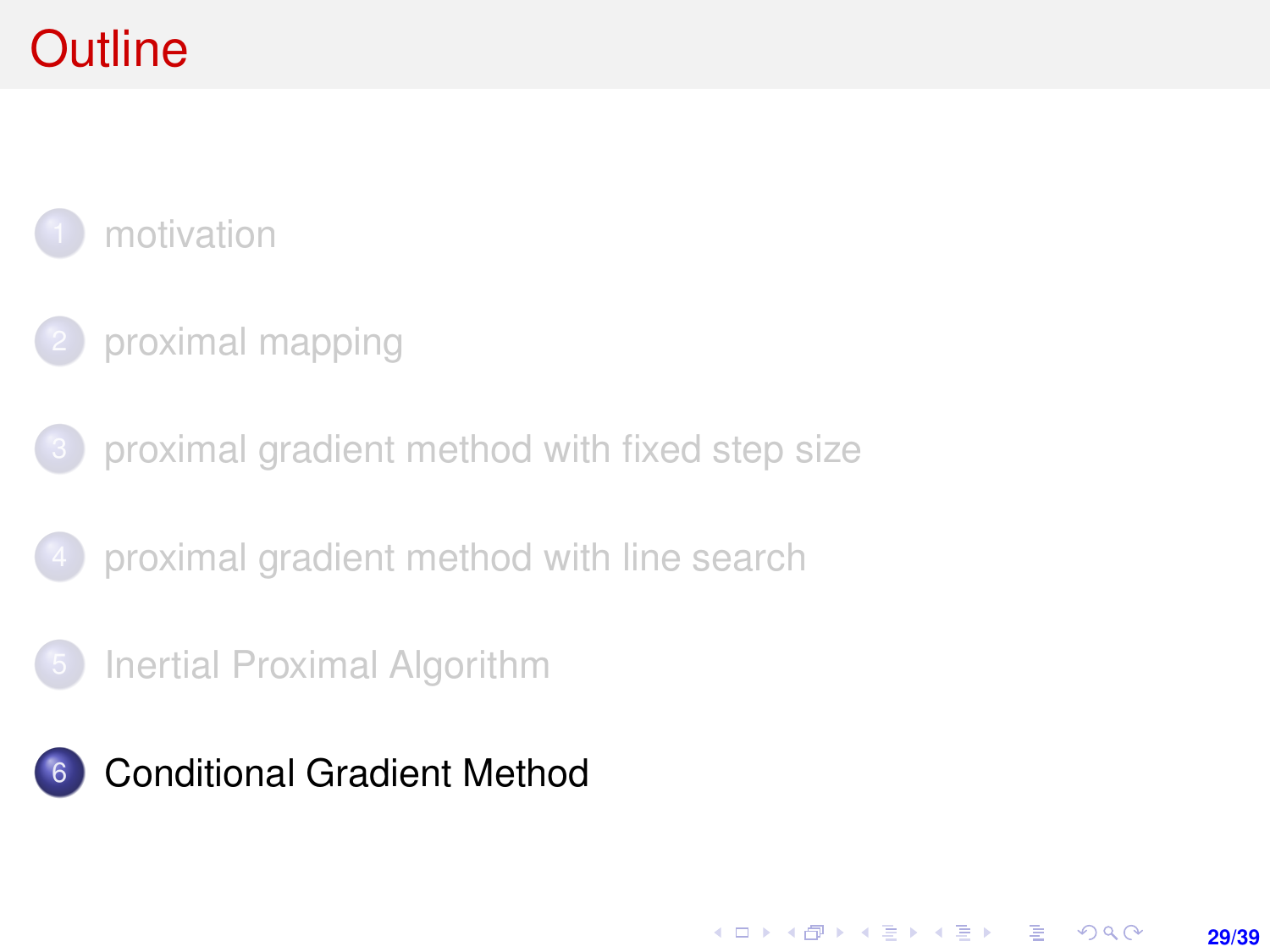# <span id="page-28-0"></span>**Outline**

### [motivation](#page-1-0)

- [proximal mapping](#page-7-0)
- [proximal gradient method with fixed step size](#page-11-0)
- 4 [proximal gradient method with line search](#page-20-0)
- 5 [Inertial Proximal Algorithm](#page-26-0)
- 6 [Conditional Gradient Method](#page-28-0)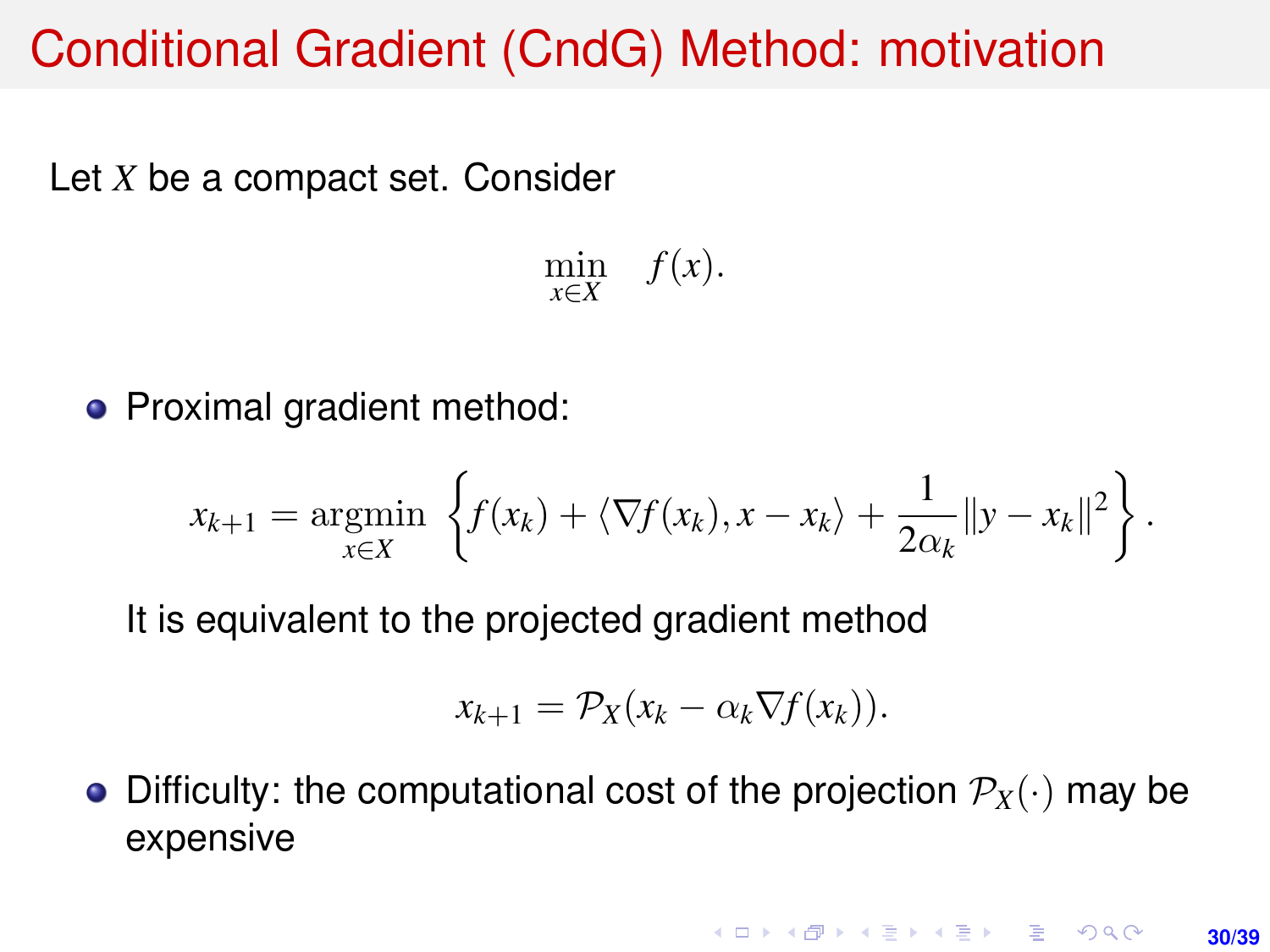## Conditional Gradient (CndG) Method: motivation

Let *X* be a compact set. Consider

 $\min_{x \in X} f(x)$ .

• Proximal gradient method:

$$
x_{k+1} = \underset{x \in X}{\text{argmin}} \left\{ f(x_k) + \langle \nabla f(x_k), x - x_k \rangle + \frac{1}{2\alpha_k} ||y - x_k||^2 \right\}.
$$

It is equivalent to the projected gradient method

$$
x_{k+1} = \mathcal{P}_X(x_k - \alpha_k \nabla f(x_k)).
$$

• Difficulty: the computational cost of the projection  $\mathcal{P}_X(\cdot)$  may be expensive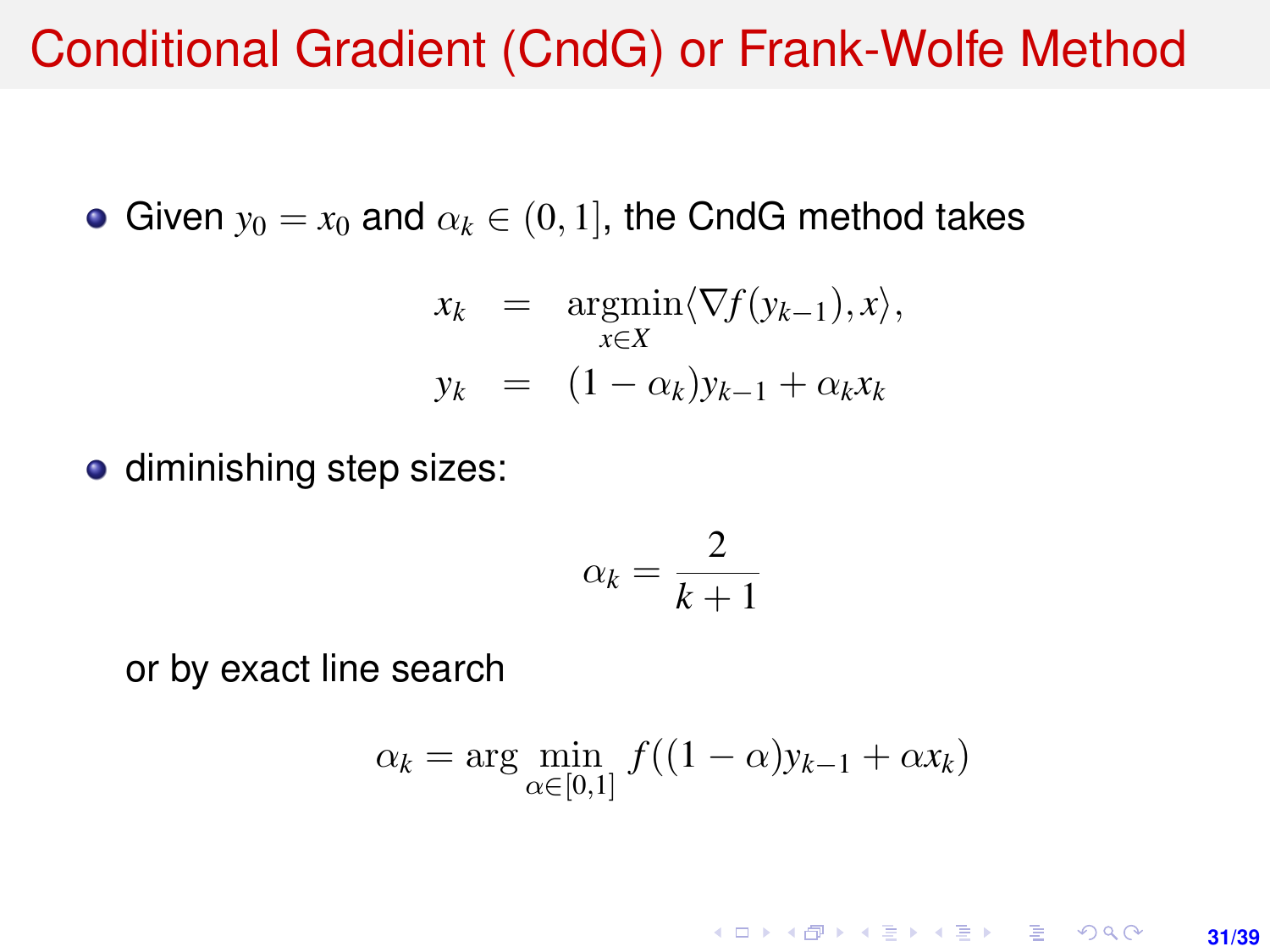## Conditional Gradient (CndG) or Frank-Wolfe Method

• Given  $y_0 = x_0$  and  $\alpha_k \in (0, 1]$ , the CndG method takes

$$
x_k = \underset{x \in X}{\operatorname{argmin}} \langle \nabla f(y_{k-1}), x \rangle,
$$
  

$$
y_k = (1 - \alpha_k) y_{k-1} + \alpha_k x_k
$$

**o** diminishing step sizes:

$$
\alpha_k = \frac{2}{k+1}
$$

or by exact line search

$$
\alpha_k = \arg\min_{\alpha \in [0,1]} f((1-\alpha)y_{k-1} + \alpha x_k)
$$

KORK ERKER ERKER **31/39**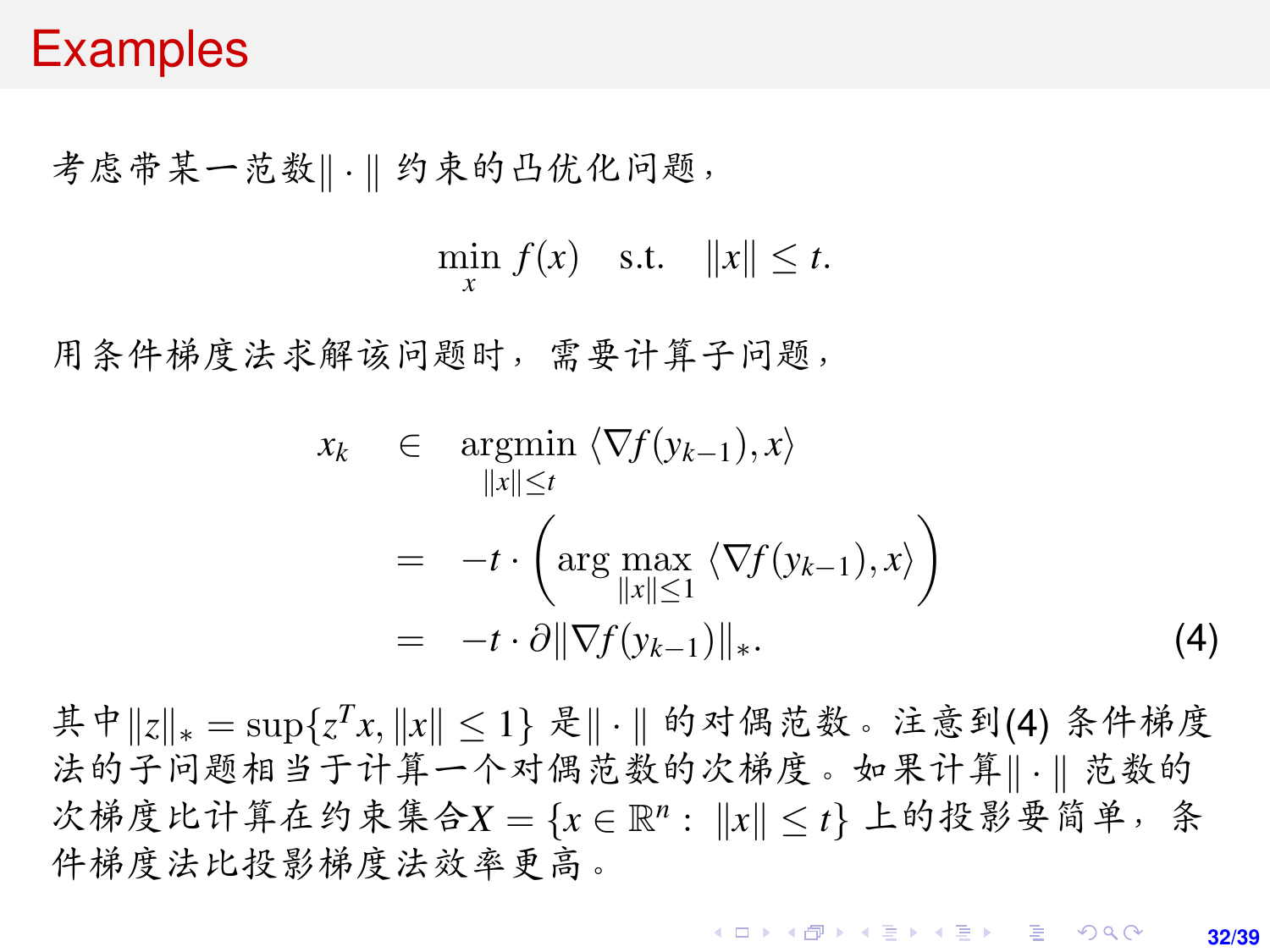#### Examples

考虑带某一范数|| . || 约束的凸优化问题,

 $\min_{x} f(x)$  s.t.  $\|x\| \leq t$ .

<sup>用</sup>条件梯度法求解该问题时,需要计算子问题,

<span id="page-31-0"></span>
$$
x_k \in \operatorname*{argmin}_{\|x\| \le t} \langle \nabla f(y_{k-1}), x \rangle
$$
  
=  $-t \cdot \left( \operatorname*{arg\ max}_{\|x\| \le 1} \langle \nabla f(y_{k-1}), x \rangle \right)$   
=  $-t \cdot \partial \|\nabla f(y_{k-1})\|_*$ . (4)

其中 $||z||_* = \sup\{z^T x, ||x|| \leq 1\}$ 是 $|| \cdot ||$  的对偶范数。注意到[\(4\)](#page-31-0) 条件梯度 法的子问题相当于计算一个对偶范数的次梯度。如果计算|| · || 范数的 次梯度比计算在约束集合 $X = \{x \in \mathbb{R}^n : ||x|| \le t\}$ 上的投影要简单,条 <sup>件</sup>梯度法比投影梯度法效率更高。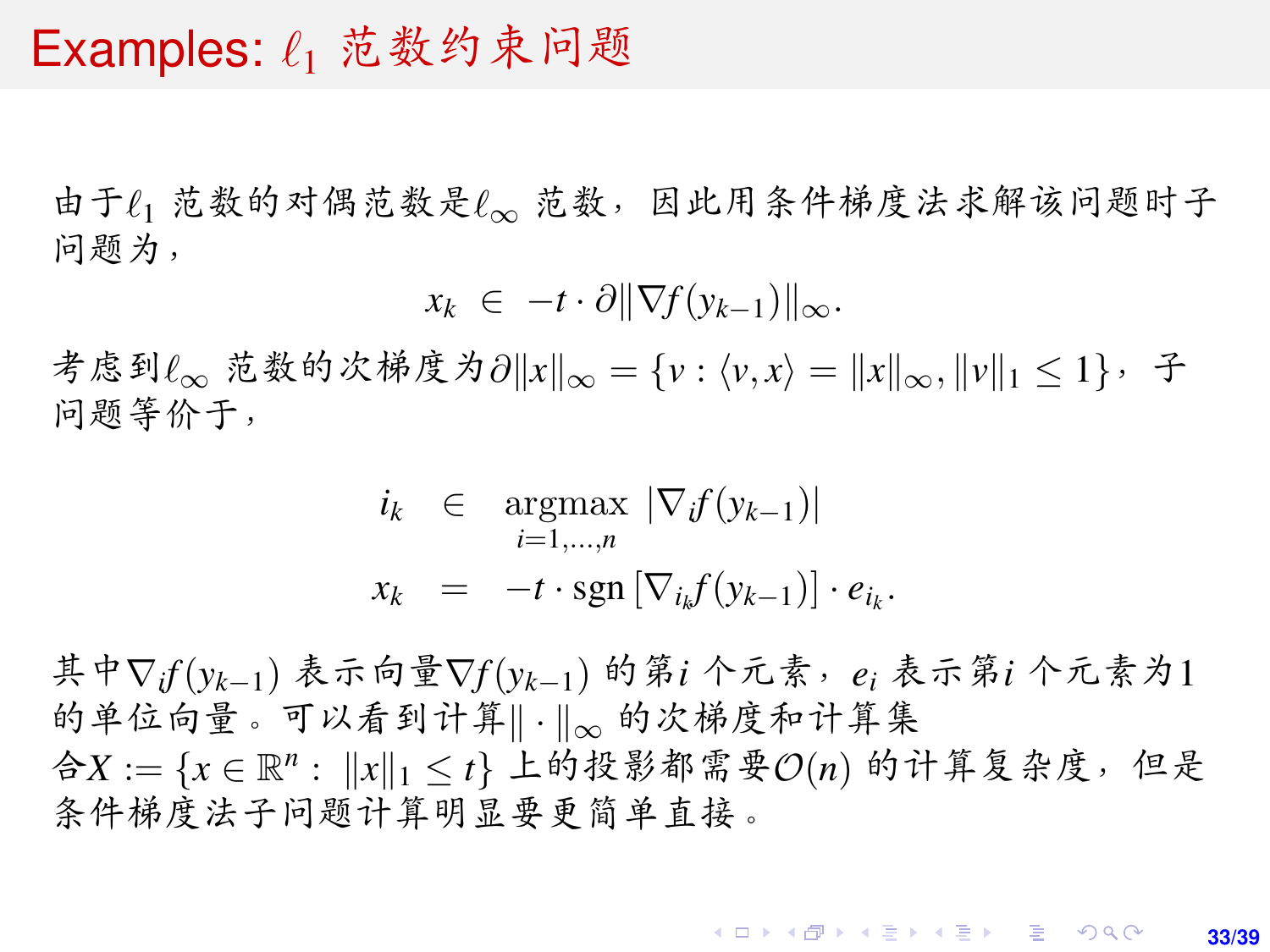#### Examples:  $\ell_1$  范数约束问题

由于ℓ1 范数的对偶范数是ℓ≤ 范数, 因此用条件梯度法求解该问题时子 <sup>问</sup>题为,

$$
x_k \in -t \cdot \partial \|\nabla f(y_{k-1})\|_{\infty}.
$$

考虑到 $\ell_{\infty}$  范数的次梯度为∂ $||x||_{\infty} = \{v : \langle v, x \rangle = ||x||_{\infty}, ||v||_1 \leq 1\}$ , 子 <sup>问</sup>题等价于,

$$
i_k \in \operatorname*{argmax}_{i=1,\ldots,n} |\nabla_i f(y_{k-1})|
$$
  

$$
x_k = -t \cdot \operatorname{sgn} [\nabla_{i_k} f(y_{k-1})] \cdot e_{i_k}.
$$

其中▽ $f(y_{k-1})$ 表示向量▽ $f(y_{k-1})$  的第*i* 个元素,  $e_i$ 表示第*i* 个元素为1<br>的单位向量。可以看到计算||, || 的次梯度和计算集 的单位向量。可以看到计算‖ · || ∞ 的次梯度和计算集 合 $X := \{x \in \mathbb{R}^n : ||x||_1 \leq t\}$ 上的投影都需要 $\mathcal{O}(n)$ 的计算复杂度,但是 <sup>条</sup>件梯度法子问题计算明显要更简单直接。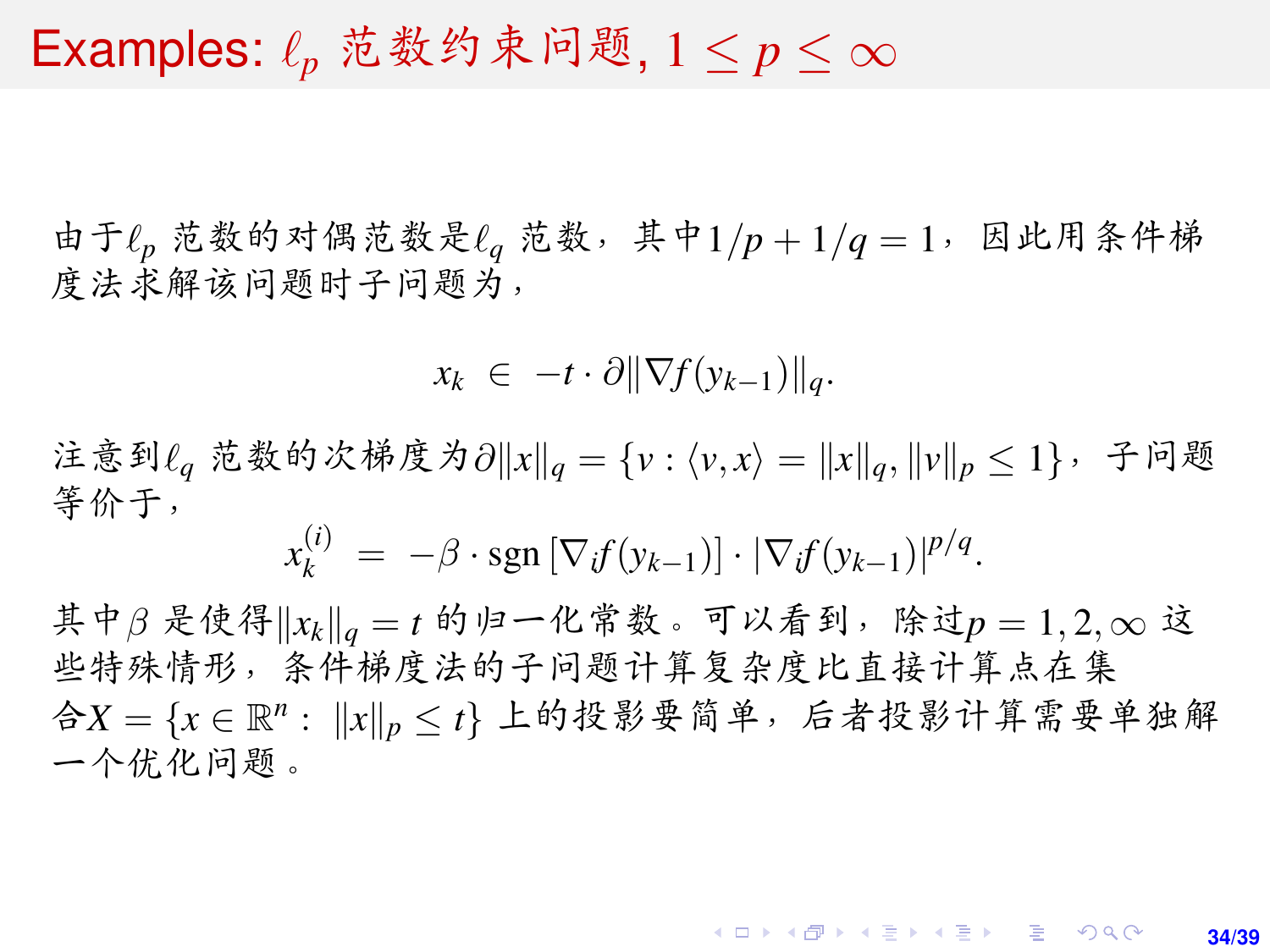## Examples:  $\ell_p$  范数约束问题,  $1 < p < \infty$

由于 $\ell_p$  范数的对偶范数是 $\ell_q$  范数, 其中 $1/p + 1/q = 1$ , 因此用条件梯 度法求解该问题时子问题为,

$$
x_k \in -t \cdot \partial \|\nabla f(y_{k-1})\|_q.
$$

注意到 $\ell_a$  范数的次梯度为∂ $||x||_q = \{v : \langle v, x \rangle = ||x||_q, ||v||_p \leq 1\}$ , 子问题 等价于,

 $x_k^{(i)} = -\beta \cdot \text{sgn} \left[ \nabla_i f(y_{k-1}) \right] \cdot |\nabla_i f(y_{k-1})|^{p/q}.$ 

其中β是使得 $||x_k||_q = t$  的归一化常数。可以看到, 除过 $p = 1, 2, \infty$  这 <sup>些</sup>特殊情形,条件梯度法的子问题计算复杂度比直接计算点在<sup>集</sup> 合 $X = \{x \in \mathbb{R}^n : ||x||_p \leq t\}$  上的投影要简单, 后者投影计算需要单独解 一个优化问题。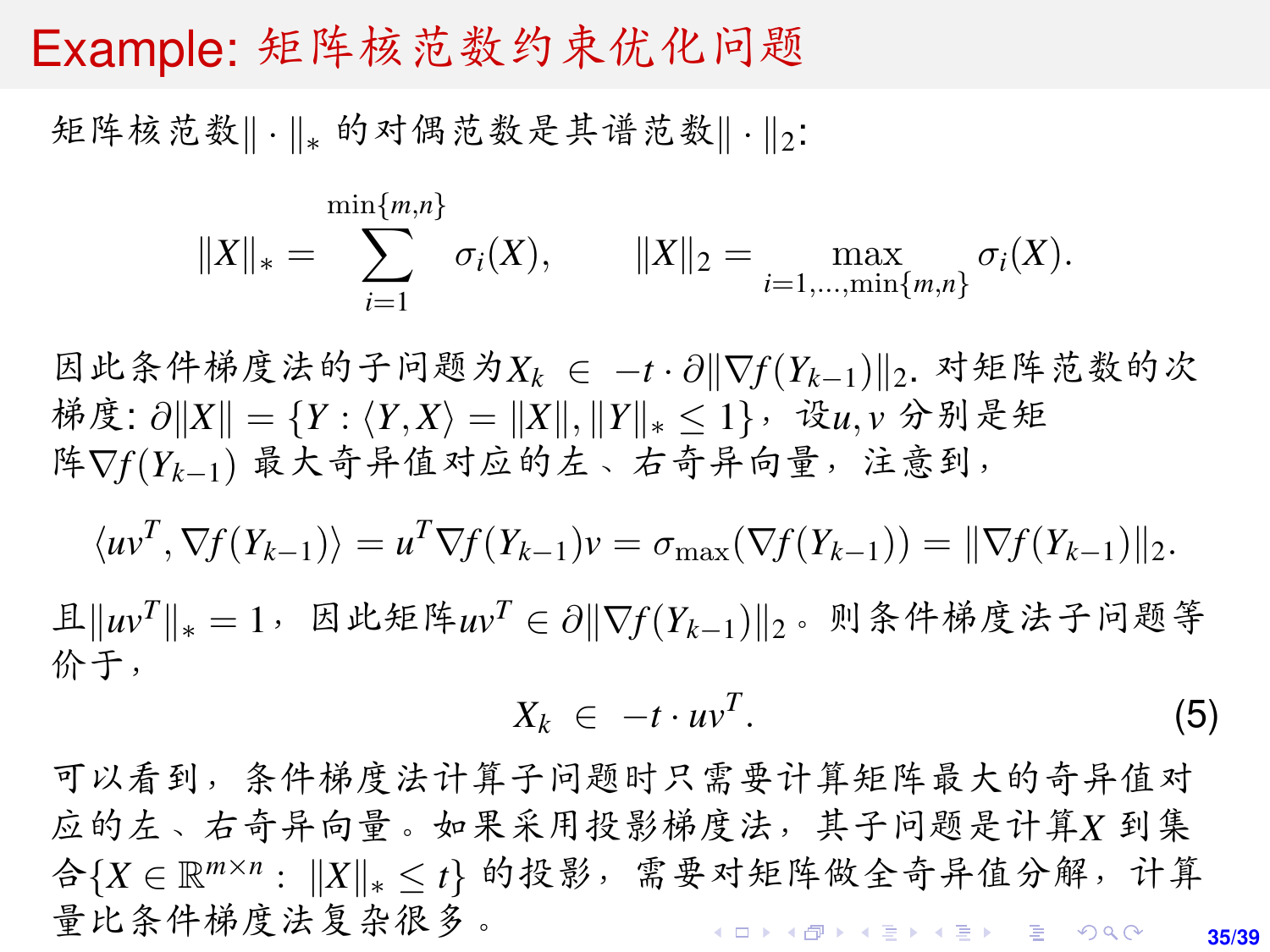#### Example: <sup>矩</sup>阵核范数约束优化问题

矩阵核范数‖· ll。的对偶范数是其谱范数||· ||2:

$$
||X||_* = \sum_{i=1}^{\min\{m,n\}} \sigma_i(X), \qquad ||X||_2 = \max_{i=1,\dots,\min\{m,n\}} \sigma_i(X).
$$

因此条件梯度法的子问题为 $X_k$  ∈ -t · ∂\\Tf(Y<sub>k-1</sub>)\\2. 对矩阵范数的次  $k^*$ 度:  $\partial ||X|| = {Y : \langle Y, X \rangle = ||X||, ||Y||_* ≤ 1}$ , 设u, *v* 分别是矩 <sup>阵</sup>∇*f*(*Yk*−1) <sup>最</sup>大奇异值对应的左、右奇异向量,注意到,

$$
\langle uv^T, \nabla f(Y_{k-1}) \rangle = u^T \nabla f(Y_{k-1}) v = \sigma_{\max}(\nabla f(Y_{k-1})) = ||\nabla f(Y_{k-1})||_2.
$$

 $\mathbb{E}\left\Vert uv^T \right\Vert_*=1$ , 因此矩阵*uv*<sup>*T*</sup> ∈ ∂ $\|\nabla f(Y_{k-1})\|_2$ 。则条件梯度法子问题等 价于,

$$
X_k \in -t \cdot uv^T. \tag{5}
$$

<sup>可</sup>以看到,条件梯度法计算子问题时只需要计算矩阵最大的奇异值<sup>对</sup> <sup>应</sup>的左、右奇异向量。如果采用投影梯度法,其子问题是计算*<sup>X</sup>* <sup>到</sup><sup>集</sup>  $\hat{P}$   $\{X \in \mathbb{R}^{m \times n}: \|X\|_* \leq t\}$  的投影, 需要对矩阵做全奇[异](#page-0-0)值分解, 计算 <sup>量</sup>比条件梯度法复杂很多。

**35/39**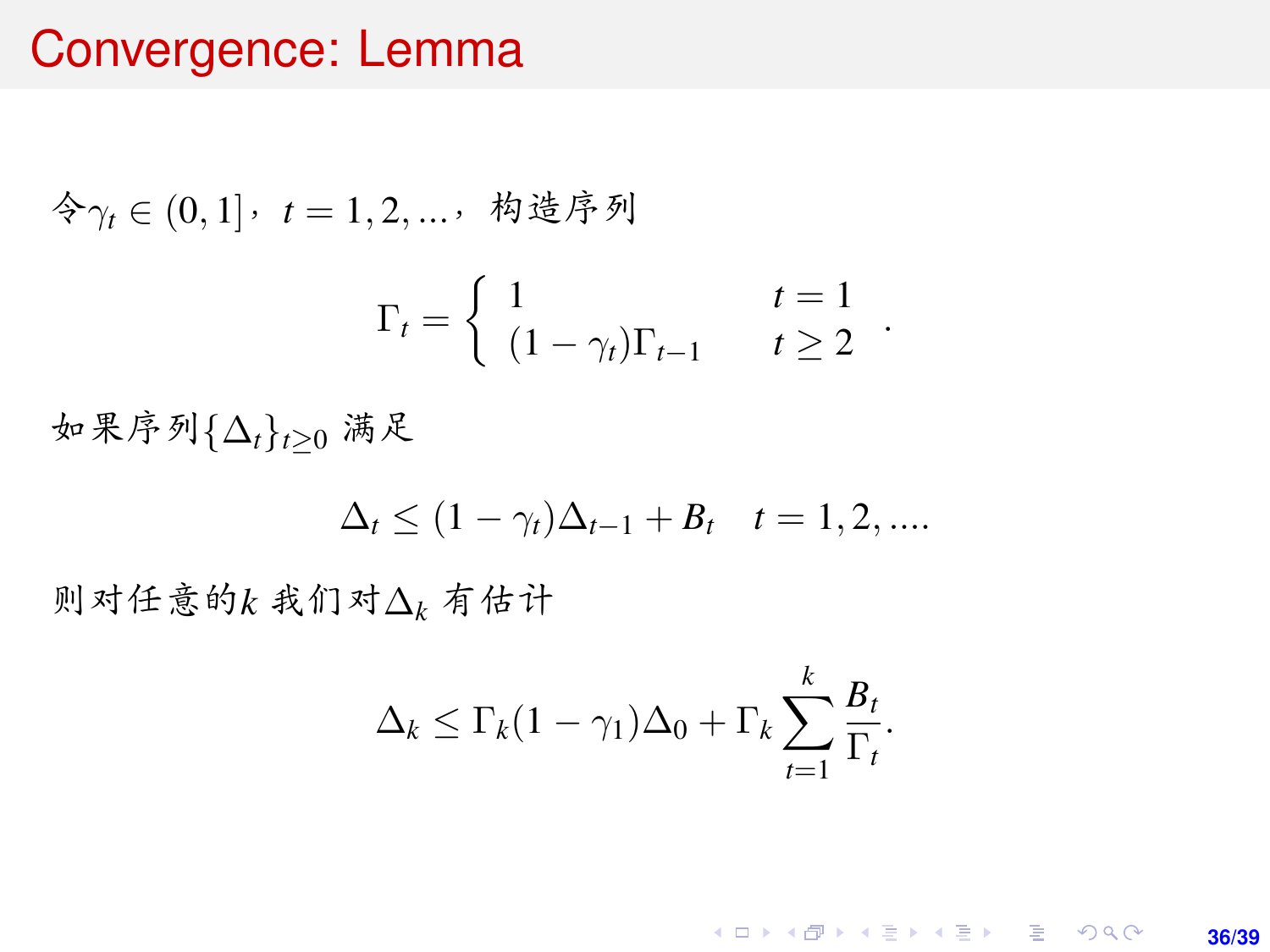#### Convergence: Lemma

$$
\diamondsuit \gamma_t \in (0,1], \ t = 1,2,..., \ \hbox{M\&\,\,} \tilde{\mathcal{F}} \tilde{\mathcal{P}} \mathcal{P}
$$
\n
$$
\Gamma_t = \begin{cases} 1 & t = 1 \\ (1 - \gamma_t) \Gamma_{t-1} & t \ge 2 \end{cases}.
$$

如果序列{∆*t*}*t*≥<sup>0</sup> 满足

$$
\Delta_t \le (1 - \gamma_t)\Delta_{t-1} + B_t \quad t = 1, 2, \dots
$$

<sup>则</sup>对任意的*<sup>k</sup>* <sup>我</sup>们对∆*<sup>k</sup>* <sup>有</sup>估<sup>计</sup>

$$
\Delta_k \leq \Gamma_k (1 - \gamma_1) \Delta_0 + \Gamma_k \sum_{t=1}^k \frac{B_t}{\Gamma_t}.
$$

K ロ ▶ K @ ▶ K 할 ▶ K 할 ▶ 이 할 → 9 Q @ **36/39**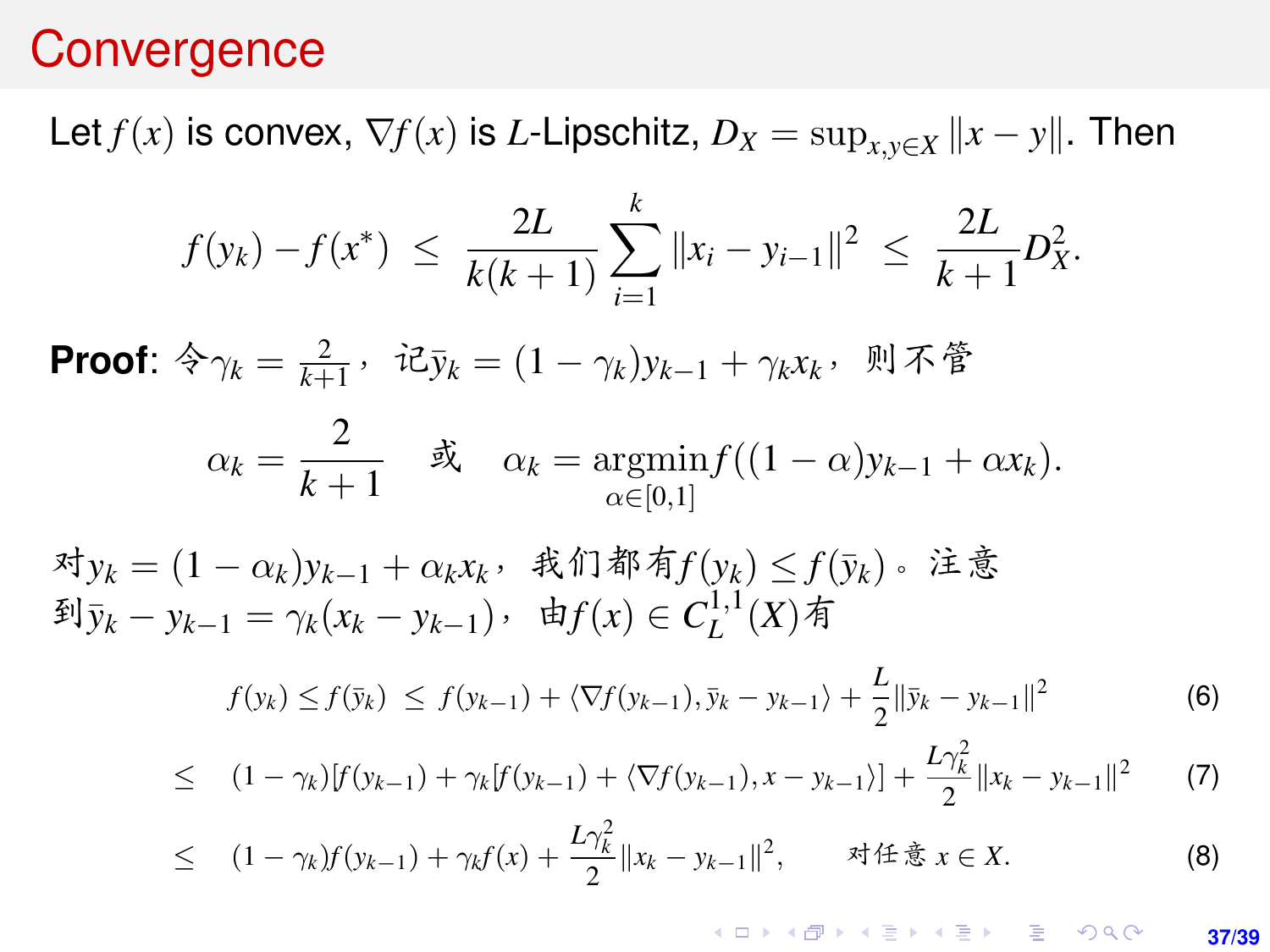#### <span id="page-36-0"></span>**Convergence**

Let  $f(x)$  is convex,  $\nabla f(x)$  is *L*-Lipschitz,  $D_X = \sup_{x,y \in X} ||x - y||$ . Then

$$
f(y_k) - f(x^*) \leq \frac{2L}{k(k+1)} \sum_{i=1}^k ||x_i - y_{i-1}||^2 \leq \frac{2L}{k+1} D_X^2.
$$

**Proof**: 令 $\gamma_k = \frac{2}{k+1}$ , 记 $\bar{y}_k = (1 - \gamma_k)y_{k-1} + \gamma_k x_k$ , 则不管

$$
\alpha_k = \frac{2}{k+1} \quad \text{if} \quad \alpha_k = \underset{\alpha \in [0,1]}{\operatorname{argmin}} f((1-\alpha)y_{k-1} + \alpha x_k).
$$

 $\forall$ *y*<sub>*k*</sub> = (1 −  $\alpha$ *k*)*y*<sub>*k*−1</sub> +  $\alpha$ <sub>*k*</sub>*x*<sub>*k*</sub>, 我们都有*f*(*y*<sub>*k*</sub>) ≤ *f*( $\bar{y}$ *k*) ∈ 注意  $\mathbb{E}[\bar{y}_k - y_{k-1} = \gamma_k(x_k - y_{k-1}), \quad \text{if } f(x) \in C_L^{1,1}$  $L^{1,1}(X)$ 有

$$
f(y_k) \le f(\bar{y}_k) \le f(y_{k-1}) + \langle \nabla f(y_{k-1}), \bar{y}_k - y_{k-1} \rangle + \frac{L}{2} ||\bar{y}_k - y_{k-1}||^2 \tag{6}
$$

$$
\leq (1 - \gamma_k) [f(y_{k-1}) + \gamma_k [f(y_{k-1}) + \langle \nabla f(y_{k-1}), x - y_{k-1} \rangle] + \frac{L\gamma_k^2}{2} ||x_k - y_{k-1}||^2 \qquad (7)
$$

<span id="page-36-2"></span><span id="page-36-1"></span>
$$
\leq (1 - \gamma_k)f(y_{k-1}) + \gamma_k f(x) + \frac{L\gamma_k^2}{2} \|x_k - y_{k-1}\|^2, \qquad \forall i \in \tilde{\mathfrak{F}} \ x \in X. \tag{8}
$$

**KOD KARD KED KED DRA 37/39**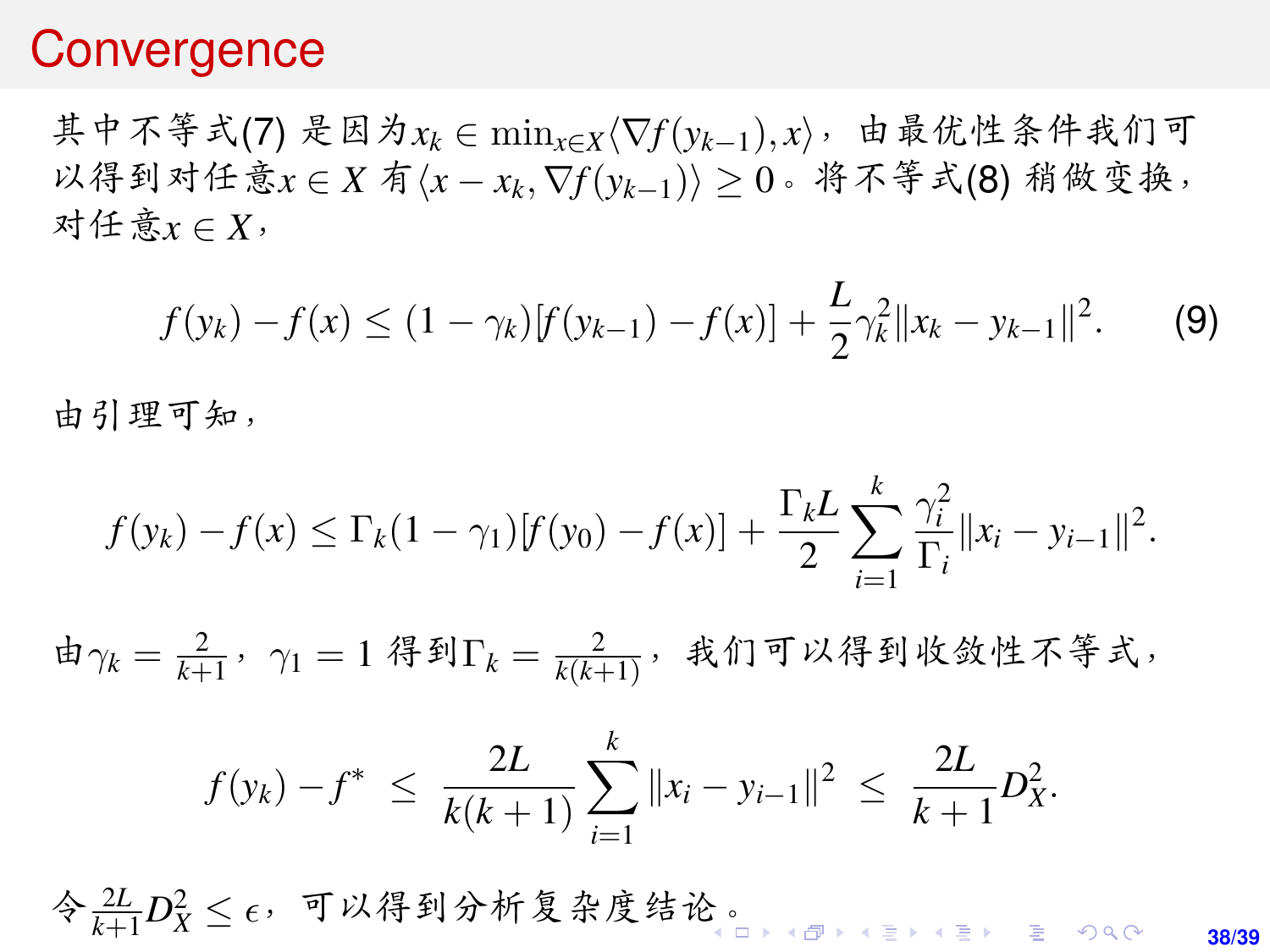#### **Convergence**

<sup>其</sup>中不等式[\(7\)](#page-36-1) <sup>是</sup>因为*x<sup>k</sup>* <sup>∈</sup> min*x*∈*X*h∇*f*(*yk*−1), *<sup>x</sup>*i,由最优性条件我们<sup>可</sup>  $W$ 得到对任意 $x \in X$  有 $\langle x - x_k, \nabla f(y_{k-1}) \rangle \geq 0$ 。将不等式[\(8\)](#page-36-2) 稍做变换, 对任意*x* ∈ *X*,

$$
f(y_k) - f(x) \le (1 - \gamma_k) [f(y_{k-1}) - f(x)] + \frac{L}{2} \gamma_k^2 \|x_k - y_{k-1}\|^2.
$$
 (9)

<sup>由</sup>引理可知,

$$
f(y_k) - f(x) \leq \Gamma_k(1 - \gamma_1)[f(y_0) - f(x)] + \frac{\Gamma_k L}{2} \sum_{i=1}^k \frac{\gamma_i^2}{\Gamma_i} \|x_i - y_{i-1}\|^2.
$$

由 $γ_k = \frac{2}{k+1}, γ_1 = 1$ 得到 $Γ_k = \frac{2}{k(k+1)},$ 我们可以得到收敛性不等式,

$$
f(y_k) - f^* \le \frac{2L}{k(k+1)} \sum_{i=1}^k ||x_i - y_{i-1}||^2 \le \frac{2L}{k+1} D_X^2.
$$

**38/39**  $\frac{\Delta^2 L}{k+1} D_X^2 \leq \epsilon$ ,可以得到分析复杂度结[论](#page-36-0)[。](#page-38-0)